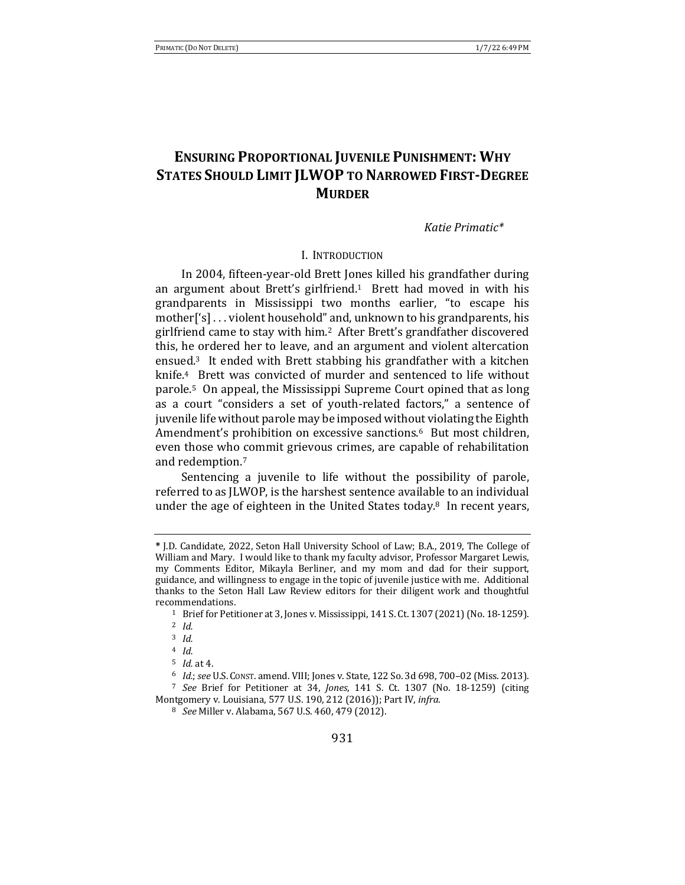# **ENSURING PROPORTIONAL JUVENILE PUNISHMENT: WHY STATES SHOULD LIMIT JLWOP TO NARROWED FIRST-DEGREE MURDER**

*Katie Primatic\**

### I. INTRODUCTION

In 2004, fifteen-year-old Brett Jones killed his grandfather during an argument about Brett's girlfriend.<sup>1</sup> Brett had moved in with his grandparents in Mississippi two months earlier, "to escape his mother<sup>['s]</sup>... violent household" and, unknown to his grandparents, his girlfriend came to stay with him.<sup>2</sup> After Brett's grandfather discovered this, he ordered her to leave, and an argument and violent altercation ensued. $3$  It ended with Brett stabbing his grandfather with a kitchen knife.<sup>4</sup> Brett was convicted of murder and sentenced to life without parole.<sup>5</sup> On appeal, the Mississippi Supreme Court opined that as long as a court "considers a set of youth-related factors," a sentence of juvenile life without parole may be imposed without violating the Eighth Amendment's prohibition on excessive sanctions.<sup>6</sup> But most children, even those who commit grievous crimes, are capable of rehabilitation and redemption.<sup>7</sup>

Sentencing a juvenile to life without the possibility of parole, referred to as JLWOP, is the harshest sentence available to an individual under the age of eighteen in the United States today.<sup>8</sup> In recent vears,

6 *Id.*; see U.S. Const. amend. VIII; Jones v. State, 122 So. 3d 698, 700-02 (Miss. 2013).

<sup>7</sup> See Brief for Petitioner at 34, *Jones*, 141 S. Ct. 1307 (No. 18-1259) (citing Montgomery v. Louisiana, 577 U.S. 190, 212 (2016)); Part IV, *infra*.

**<sup>\*</sup>** J.D. Candidate, 2022, Seton Hall University School of Law; B.A., 2019, The College of William and Mary. I would like to thank my faculty advisor, Professor Margaret Lewis, my Comments Editor, Mikayla Berliner, and my mom and dad for their support, guidance, and willingness to engage in the topic of juvenile justice with me. Additional thanks to the Seton Hall Law Review editors for their diligent work and thoughtful recommendations.

<sup>&</sup>lt;sup>1</sup> Brief for Petitioner at 3, Jones v. Mississippi, 141 S. Ct. 1307 (2021) (No. 18-1259).

<sup>2</sup> *Id.*

<sup>3</sup> *Id.*

<sup>4</sup> *Id.*

 $5$  *Id.* at 4.

<sup>&</sup>lt;sup>8</sup> *See* Miller v. Alabama, 567 U.S. 460, 479 (2012).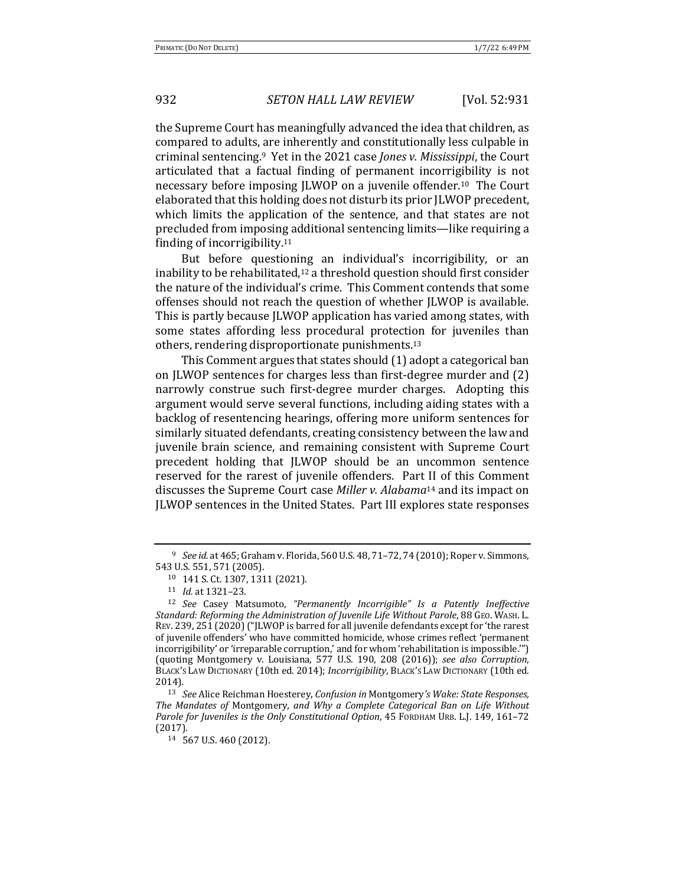the Supreme Court has meaningfully advanced the idea that children, as compared to adults, are inherently and constitutionally less culpable in criminal sentencing.<sup>9</sup> Yet in the 2021 case *Jones v. Mississippi*, the Court articulated that a factual finding of permanent incorrigibility is not necessary before imposing JLWOP on a juvenile offender.<sup>10</sup> The Court elaborated that this holding does not disturb its prior JLWOP precedent, which limits the application of the sentence, and that states are not precluded from imposing additional sentencing limits—like requiring a finding of incorrigibility. $11$ 

But before questioning an individual's incorrigibility, or an inability to be rehabilitated,<sup>12</sup> a threshold question should first consider the nature of the individual's crime. This Comment contends that some offenses should not reach the question of whether JLWOP is available. This is partly because JLWOP application has varied among states, with some states affording less procedural protection for juveniles than others, rendering disproportionate punishments.<sup>13</sup>

This Comment argues that states should  $(1)$  adopt a categorical ban on JLWOP sentences for charges less than first-degree murder and (2) narrowly construe such first-degree murder charges. Adopting this argument would serve several functions, including aiding states with a backlog of resentencing hearings, offering more uniform sentences for similarly situated defendants, creating consistency between the law and juvenile brain science, and remaining consistent with Supreme Court precedent holding that JLWOP should be an uncommon sentence reserved for the rarest of juvenile offenders. Part II of this Comment discusses the Supreme Court case *Miller v. Alabama*<sup>14</sup> and its impact on JLWOP sentences in the United States. Part III explores state responses

<sup>&</sup>lt;sup>9</sup> *See id.* at 465; Graham v. Florida, 560 U.S. 48, 71–72, 74 (2010); Roper v. Simmons, 543 U.S. 551, 571 (2005).

<sup>10 141</sup> S. Ct. 1307, 1311 (2021).

<sup>11</sup> *Id.* at 1321-23.

<sup>&</sup>lt;sup>12</sup> *See* Casey Matsumoto, "Permanently Incorrigible" Is a Patently Ineffective Standard: Reforming the Administration of Juvenile Life Without Parole, 88 GEO. WASH. L. REV. 239, 251  $(2020)$  ("JLWOP is barred for all juvenile defendants except for 'the rarest of juvenile offenders' who have committed homicide, whose crimes reflect 'permanent incorrigibility' or 'irreparable corruption,' and for whom 'rehabilitation is impossible."') (quoting Montgomery v. Louisiana, 577 U.S. 190, 208 (2016)); *see also Corruption*, BLACK'S LAW DICTIONARY (10th ed. 2014); *Incorrigibility*, BLACK'S LAW DICTIONARY (10th ed. 2014).

<sup>&</sup>lt;sup>13</sup> *See* Alice Reichman Hoesterey, *Confusion* in Montgomery's Wake: State Responses, The Mandates of Montgomery, and Why a Complete Categorical Ban on Life Without *Parole for Juveniles is the Only Constitutional Option*, 45 FORDHAM URB. L.J. 149, 161–72 (2017).

<sup>14 567</sup> U.S. 460 (2012).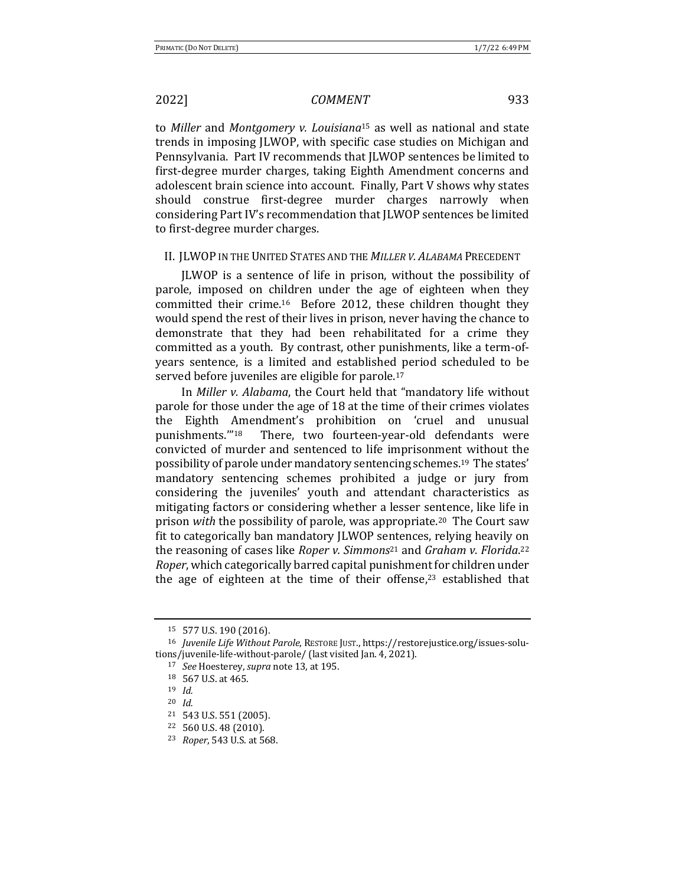to *Miller* and *Montgomery v. Louisiana*<sup>15</sup> as well as national and state trends in imposing JLWOP, with specific case studies on Michigan and Pennsylvania. Part IV recommends that JLWOP sentences be limited to first-degree murder charges, taking Eighth Amendment concerns and adolescent brain science into account. Finally, Part V shows why states should construe first-degree murder charges narrowly when considering Part IV's recommendation that JLWOP sentences be limited to first-degree murder charges.

### II. JLWOP IN THE UNITED STATES AND THE MILLER V. ALABAMA PRECEDENT

JLWOP is a sentence of life in prison, without the possibility of parole, imposed on children under the age of eighteen when they committed their crime.<sup>16</sup> Before 2012, these children thought they would spend the rest of their lives in prison, never having the chance to demonstrate that they had been rehabilitated for a crime they committed as a youth. By contrast, other punishments, like a term-ofyears sentence, is a limited and established period scheduled to be served before juveniles are eligible for parole.<sup>17</sup>

In *Miller v. Alabama*, the Court held that "mandatory life without parole for those under the age of 18 at the time of their crimes violates the Eighth Amendment's prohibition on 'cruel and unusual punishments."<sup>18</sup> There, two fourteen-year-old defendants were convicted of murder and sentenced to life imprisonment without the possibility of parole under mandatory sentencing schemes.<sup>19</sup> The states' mandatory sentencing schemes prohibited a judge or jury from considering the juveniles' youth and attendant characteristics as mitigating factors or considering whether a lesser sentence, like life in prison with the possibility of parole, was appropriate.<sup>20</sup> The Court saw fit to categorically ban mandatory *[LWOP* sentences, relying heavily on the reasoning of cases like *Roper v. Simmons*<sup>21</sup> and *Graham v. Florida*.<sup>22</sup> *Roper*, which categorically barred capital punishment for children under the age of eighteen at the time of their offense, $23$  established that

<sup>15 577</sup> U.S. 190 (2016).

<sup>&</sup>lt;sup>16</sup> *Juvenile Life Without Parole*, RESTORE JUST., https://restorejustice.org/issues-solutions/juvenile-life-without-parole/ (last visited Jan. 4, 2021).

<sup>17</sup> *See* Hoesterey, *supra* note 13, at 195.

 $18$  567 U.S. at 465.

<sup>19</sup> *Id.*

<sup>20</sup> *Id.*

<sup>&</sup>lt;sup>21</sup> 543 U.S. 551 (2005).

 $22$  560 U.S. 48 (2010).

<sup>23</sup> *Roper*, 543 U.S. at 568.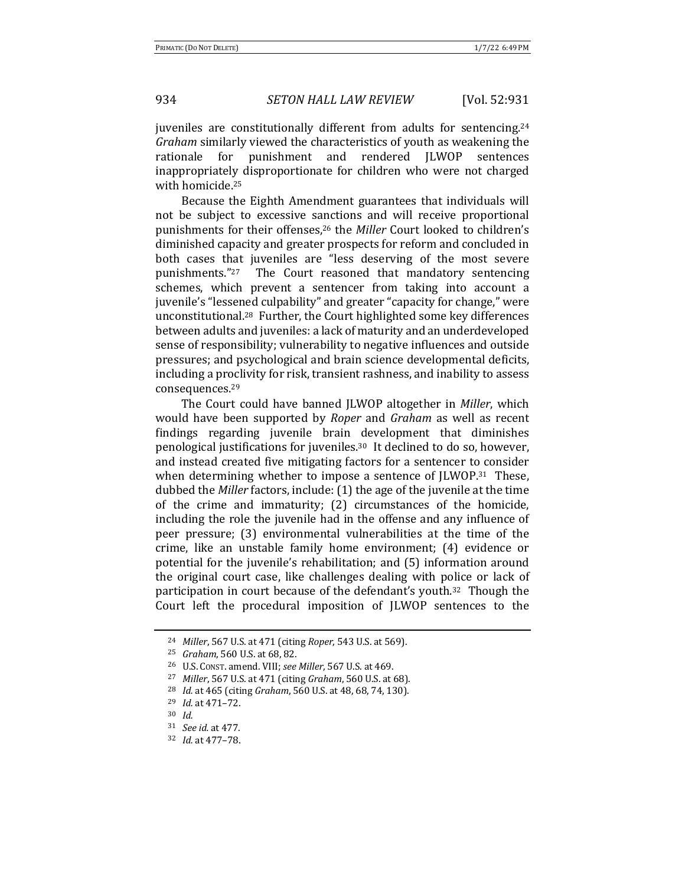juveniles are constitutionally different from adults for sentencing.<sup>24</sup> *Graham* similarly viewed the characteristics of youth as weakening the rationale for punishment and rendered JLWOP sentences inappropriately disproportionate for children who were not charged with homicide.<sup>25</sup>

Because the Eighth Amendment guarantees that individuals will not be subject to excessive sanctions and will receive proportional punishments for their offenses,<sup>26</sup> the *Miller* Court looked to children's diminished capacity and greater prospects for reform and concluded in both cases that juveniles are "less deserving of the most severe punishments. $"27$  The Court reasoned that mandatory sentencing schemes, which prevent a sentencer from taking into account a juvenile's "lessened culpability" and greater "capacity for change," were unconstitutional.<sup>28</sup> Further, the Court highlighted some key differences between adults and juveniles: a lack of maturity and an underdeveloped sense of responsibility; vulnerability to negative influences and outside pressures; and psychological and brain science developmental deficits, including a proclivity for risk, transient rashness, and inability to assess consequences.29

The Court could have banned *JLWOP* altogether in *Miller*, which would have been supported by *Roper* and *Graham* as well as recent findings regarding juvenile brain development that diminishes penological justifications for juveniles.<sup>30</sup> It declined to do so, however, and instead created five mitigating factors for a sentencer to consider when determining whether to impose a sentence of  $JLWOP<sub>.31</sub>$  These, dubbed the *Miller* factors, include: (1) the age of the juvenile at the time of the crime and immaturity;  $(2)$  circumstances of the homicide, including the role the juvenile had in the offense and any influence of peer pressure; (3) environmental vulnerabilities at the time of the crime, like an unstable family home environment;  $(4)$  evidence or potential for the juvenile's rehabilitation; and (5) information around the original court case, like challenges dealing with police or lack of participation in court because of the defendant's youth.<sup>32</sup> Though the Court left the procedural imposition of JLWOP sentences to the

<sup>24</sup> *Miller*, 567 U.S. at 471 (citing *Roper*, 543 U.S. at 569).

<sup>&</sup>lt;sup>25</sup> *Graham*, 560 U.S. at 68, 82.

<sup>26</sup> U.S. CONST. amend. VIII; *see Miller*, 567 U.S. at 469.

<sup>27</sup> *Miller*, 567 U.S. at 471 (citing *Graham*, 560 U.S. at 68).

<sup>&</sup>lt;sup>28</sup> *Id.* at 465 (citing *Graham*, 560 U.S. at 48, 68, 74, 130).

<sup>29</sup> *Id.* at 471–72.

<sup>30</sup> *Id.*

<sup>31</sup> *See id.* at 477.

<sup>32</sup> *Id.* at 477–78.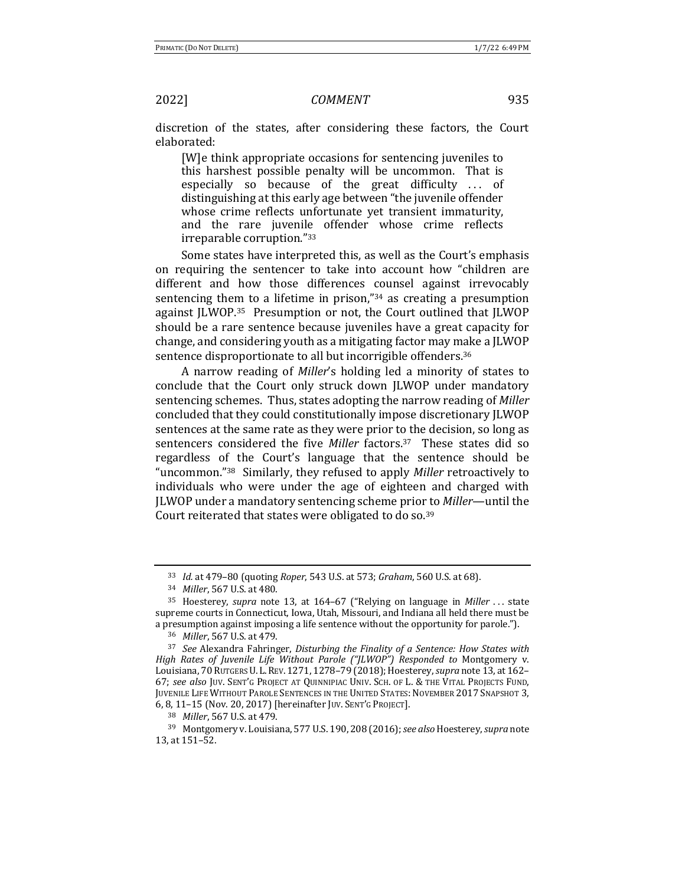discretion of the states, after considering these factors, the Court elaborated:

[W]e think appropriate occasions for sentencing juveniles to this harshest possible penalty will be uncommon. That is especially so because of the great difficulty ... of distinguishing at this early age between "the juvenile offender whose crime reflects unfortunate yet transient immaturity, and the rare juvenile offender whose crime reflects irreparable corruption."33

Some states have interpreted this, as well as the Court's emphasis on requiring the sentencer to take into account how "children are different and how those differences counsel against irrevocably sentencing them to a lifetime in prison," $34$  as creating a presumption against JLWOP.<sup>35</sup> Presumption or not, the Court outlined that JLWOP should be a rare sentence because juveniles have a great capacity for change, and considering youth as a mitigating factor may make a LLWOP sentence disproportionate to all but incorrigible offenders.<sup>36</sup>

A narrow reading of *Miller's* holding led a minority of states to conclude that the Court only struck down JLWOP under mandatory sentencing schemes. Thus, states adopting the narrow reading of *Miller* concluded that they could constitutionally impose discretionary JLWOP sentences at the same rate as they were prior to the decision, so long as sentencers considered the five *Miller* factors.<sup>37</sup> These states did so regardless of the Court's language that the sentence should be "uncommon."<sup>38</sup> Similarly, they refused to apply *Miller* retroactively to individuals who were under the age of eighteen and charged with JLWOP under a mandatory sentencing scheme prior to *Miller*—until the Court reiterated that states were obligated to do so.<sup>39</sup>

38 *Miller*, 567 U.S. at 479.

<sup>33</sup> *Id.* at 479-80 (quoting *Roper*, 543 U.S. at 573; *Graham*, 560 U.S. at 68).

<sup>34</sup> *Miller*, 567 U.S. at 480.

<sup>35</sup> Hoesterey, *supra* note 13, at 164–67 ("Relying on language in *Miller* . . . state supreme courts in Connecticut, Iowa, Utah, Missouri, and Indiana all held there must be a presumption against imposing a life sentence without the opportunity for parole.").

<sup>36</sup> *Miller*, 567 U.S. at 479.

<sup>&</sup>lt;sup>37</sup> See Alexandra Fahringer, *Disturbing the Finality of a Sentence: How States with High Rates of Juvenile Life Without Parole ("JLWOP")* Responded to Montgomery v. Louisiana, 70 RUTGERS U. L. REV. 1271, 1278-79 (2018); Hoesterey, *supra* note 13, at 162-67; see also Juv. SENT'G PROJECT AT QUINNIPIAC UNIV. SCH. OF L. & THE VITAL PROJECTS FUND, JUVENILE LIFE WITHOUT PAROLE SENTENCES IN THE UNITED STATES: NOVEMBER 2017 SNAPSHOT 3, 6, 8, 11-15 (Nov. 20, 2017) [hereinafter JUV. SENT'G PROJECT].

<sup>&</sup>lt;sup>39</sup> Montgomery v. Louisiana, 577 U.S. 190, 208 (2016); see also Hoesterey, supra note 13, at 151-52.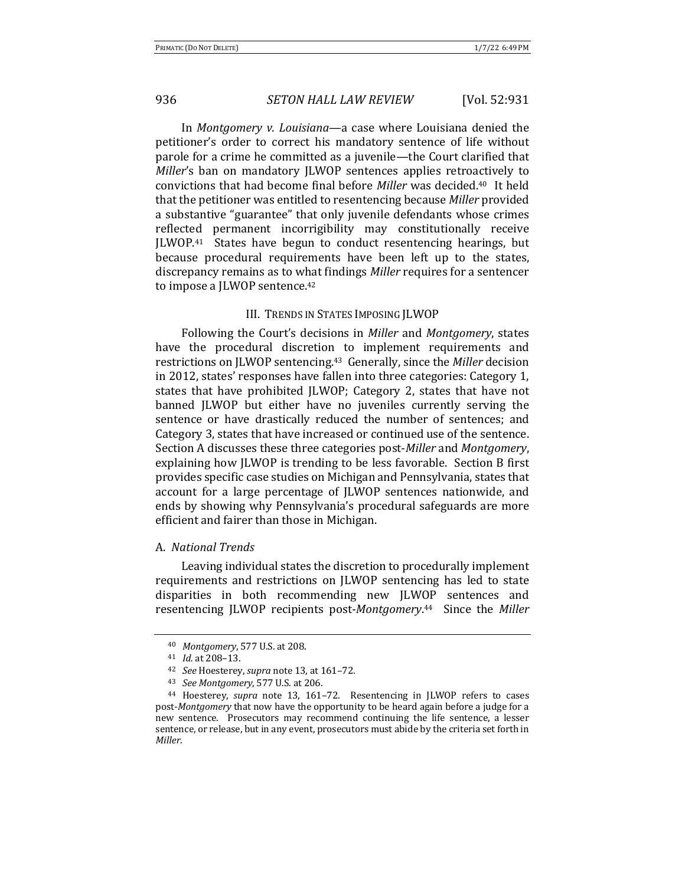In *Montgomery v. Louisiana*—a case where Louisiana denied the petitioner's order to correct his mandatory sentence of life without parole for a crime he committed as a juvenile—the Court clarified that *Miller's* ban on mandatory JLWOP sentences applies retroactively to convictions that had become final before *Miller* was decided.<sup>40</sup> It held that the petitioner was entitled to resentencing because *Miller* provided a substantive "guarantee" that only juvenile defendants whose crimes reflected permanent incorrigibility may constitutionally receive JLWOP.41 States have begun to conduct resentencing hearings, but because procedural requirements have been left up to the states, discrepancy remains as to what findings *Miller* requires for a sentencer to impose a JLWOP sentence.<sup>42</sup>

### III. TRENDS IN STATES IMPOSING JLWOP

Following the Court's decisions in *Miller* and *Montgomery*, states have the procedural discretion to implement requirements and restrictions on JLWOP sentencing.<sup>43</sup> Generally, since the *Miller* decision in 2012, states' responses have fallen into three categories: Category 1, states that have prohibited JLWOP; Category 2, states that have not banned JLWOP but either have no juveniles currently serving the sentence or have drastically reduced the number of sentences; and Category 3, states that have increased or continued use of the sentence. Section A discusses these three categories post-*Miller* and *Montgomery*, explaining how JLWOP is trending to be less favorable. Section B first provides specific case studies on Michigan and Pennsylvania, states that account for a large percentage of JLWOP sentences nationwide, and ends by showing why Pennsylvania's procedural safeguards are more efficient and fairer than those in Michigan.

### A. *National Trends*

Leaving individual states the discretion to procedurally implement requirements and restrictions on JLWOP sentencing has led to state disparities in both recommending new JLWOP sentences and resentencing JLWOP recipients post-Montgomery.<sup>44</sup> Since the Miller

<sup>40</sup> *Montgomery*, 577 U.S. at 208.

<sup>41</sup> *Id.* at 208-13.

<sup>&</sup>lt;sup>42</sup> *See* Hoesterey, *supra* note 13, at 161-72.

<sup>43</sup> *See Montgomery*, 577 U.S. at 206.

<sup>&</sup>lt;sup>44</sup> Hoesterey, *supra* note 13, 161-72. Resentencing in JLWOP refers to cases post-Montgomery that now have the opportunity to be heard again before a judge for a new sentence. Prosecutors may recommend continuing the life sentence, a lesser sentence, or release, but in any event, prosecutors must abide by the criteria set forth in *Miller*.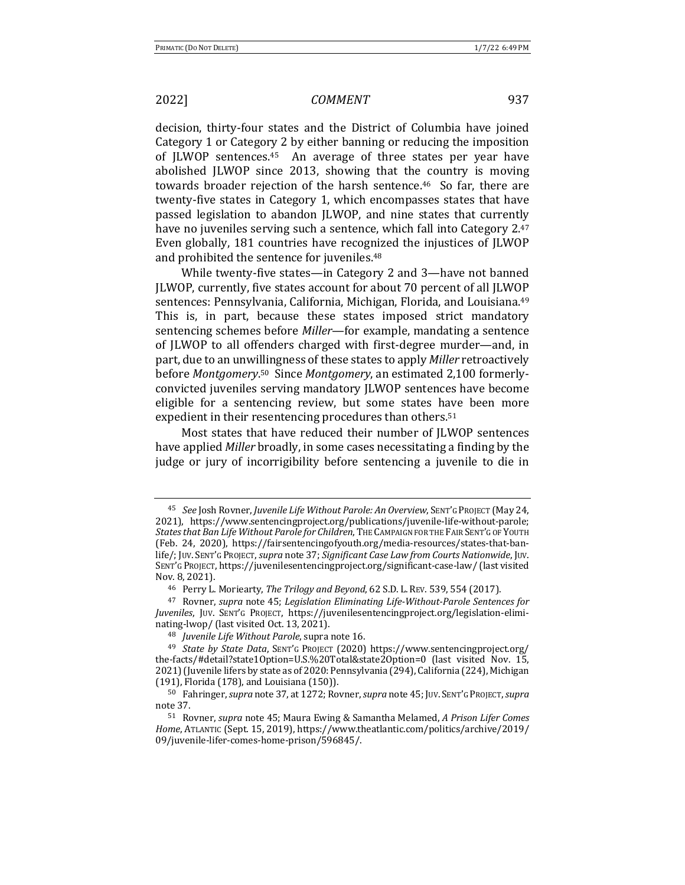decision, thirty-four states and the District of Columbia have joined Category 1 or Category 2 by either banning or reducing the imposition of  $|LWOP$  sentences.<sup>45</sup> An average of three states per year have abolished JLWOP since 2013, showing that the country is moving towards broader rejection of the harsh sentence.<sup>46</sup> So far, there are twenty-five states in Category 1, which encompasses states that have passed legislation to abandon JLWOP, and nine states that currently have no juveniles serving such a sentence, which fall into Category  $2.47$ Even globally, 181 countries have recognized the injustices of JLWOP and prohibited the sentence for juveniles.<sup>48</sup>

While twenty-five states—in Category 2 and  $3$ —have not banned JLWOP, currently, five states account for about 70 percent of all JLWOP sentences: Pennsylvania, California, Michigan, Florida, and Louisiana.<sup>49</sup> This is, in part, because these states imposed strict mandatory sentencing schemes before *Miller*—for example, mandating a sentence of JLWOP to all offenders charged with first-degree murder—and, in part, due to an unwillingness of these states to apply *Miller* retroactively before Montgomery.<sup>50</sup> Since Montgomery, an estimated 2,100 formerlyconvicted juveniles serving mandatory JLWOP sentences have become eligible for a sentencing review, but some states have been more expedient in their resentencing procedures than others.<sup>51</sup>

Most states that have reduced their number of JLWOP sentences have applied *Miller* broadly, in some cases necessitating a finding by the judge or jury of incorrigibility before sentencing a juvenile to die in

<sup>&</sup>lt;sup>45</sup> See Josh Rovner, Juvenile Life Without Parole: An Overview, SENT'G PROJECT (May 24, 2021), https://www.sentencingproject.org/publications/juvenile-life-without-parole; States that Ban Life Without Parole for Children, THE CAMPAIGN FOR THE FAIR SENT'G OF YOUTH (Feb. 24, 2020), https://fairsentencingofyouth.org/media-resources/states-that-banlife/; JUV. SENT'G PROJECT, *supra* note 37; *Significant Case Law from Courts Nationwide*, JUV. SENT'G PROJECT, https://juvenilesentencingproject.org/significant-case-law/ (last visited Nov. 8, 2021).

<sup>&</sup>lt;sup>46</sup> Perry L. Moriearty, *The Trilogy and Beyond*, 62 S.D. L. REV. 539, 554 (2017).

<sup>&</sup>lt;sup>47</sup> Rovner, *supra* note 45; *Legislation Eliminating Life-Without-Parole Sentences for Juveniles*, JUV. SENT'G PROJECT, https://juvenilesentencingproject.org/legislation-eliminating-lwop/ (last visited Oct. 13, 2021).

<sup>&</sup>lt;sup>48</sup> *Juvenile Life Without Parole*, supra note 16.

<sup>49</sup> *State by State Data*, SENT'G PROJECT (2020) https://www.sentencingproject.org/ the-facts/#detail?state1Option=U.S.%20Total&state2Option=0 (last visited Nov. 15, 2021) (Juvenile lifers by state as of 2020: Pennsylvania (294), California (224), Michigan (191), Florida (178), and Louisiana (150)).

<sup>50</sup> Fahringer, *supra* note 37, at 1272; Rovner, *supra* note 45; JUV. SENT'G PROJECT, *supra* note 37.

<sup>51</sup> Rovner, *supra* note 45; Maura Ewing & Samantha Melamed, *A Prison Lifer Comes* Home, ATLANTIC (Sept. 15, 2019), https://www.theatlantic.com/politics/archive/2019/ 09/juvenile-lifer-comes-home-prison/596845/.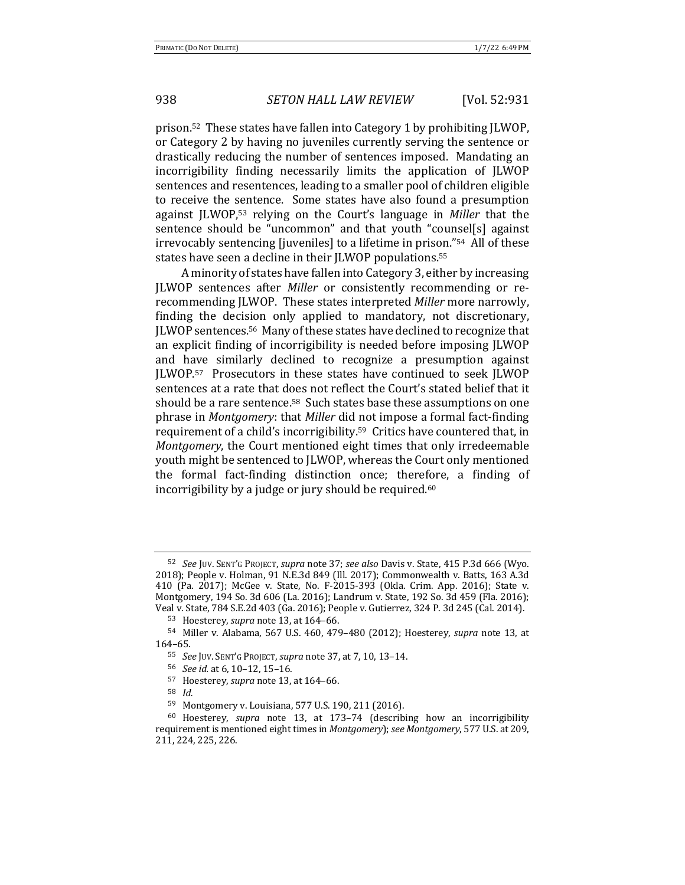prison.<sup>52</sup> These states have fallen into Category 1 by prohibiting JLWOP, or Category 2 by having no juveniles currently serving the sentence or drastically reducing the number of sentences imposed. Mandating an incorrigibility finding necessarily limits the application of JLWOP sentences and resentences, leading to a smaller pool of children eligible to receive the sentence. Some states have also found a presumption against JLWOP,<sup>53</sup> relying on the Court's language in *Miller* that the sentence should be "uncommon" and that youth "counsel[s] against irrevocably sentencing [juveniles] to a lifetime in prison."<sup>54</sup> All of these states have seen a decline in their JLWOP populations.<sup>55</sup>

A minority of states have fallen into Category 3, either by increasing JLWOP sentences after *Miller* or consistently recommending or rerecommending JLWOP. These states interpreted *Miller* more narrowly, finding the decision only applied to mandatory, not discretionary, JLWOP sentences.<sup>56</sup> Many of these states have declined to recognize that an explicit finding of incorrigibility is needed before imposing JLWOP and have similarly declined to recognize a presumption against JLWOP.<sup>57</sup> Prosecutors in these states have continued to seek JLWOP sentences at a rate that does not reflect the Court's stated belief that it should be a rare sentence.<sup>58</sup> Such states base these assumptions on one phrase in *Montgomery*: that *Miller* did not impose a formal fact-finding requirement of a child's incorrigibility.<sup>59</sup> Critics have countered that, in *Montgomery*, the Court mentioned eight times that only irredeemable youth might be sentenced to JLWOP, whereas the Court only mentioned the formal fact-finding distinction once; therefore, a finding of incorrigibility by a judge or jury should be required.<sup>60</sup>

<sup>52</sup> See Juv. SENT'G PROJECT, *supra* note 37; see also Davis v. State, 415 P.3d 666 (Wyo. 2018); People v. Holman, 91 N.E.3d 849 (Ill. 2017); Commonwealth v. Batts, 163 A.3d 410 (Pa. 2017); McGee v. State, No. F-2015-393 (Okla. Crim. App. 2016); State v. Montgomery, 194 So. 3d 606 (La. 2016); Landrum v. State, 192 So. 3d 459 (Fla. 2016); Veal v. State, 784 S.E.2d 403 (Ga. 2016); People v. Gutierrez, 324 P. 3d 245 (Cal. 2014).

<sup>53</sup> Hoesterey, *supra* note 13, at 164-66.

<sup>&</sup>lt;sup>54</sup> Miller v. Alabama, 567 U.S. 460, 479-480 (2012); Hoesterey, *supra* note 13, at 164–65.

<sup>55</sup> *See* Juv. SENT'G PROJECT, *supra* note 37, at 7, 10, 13-14.

<sup>56</sup> *See id.* at 6, 10–12, 15–16.

<sup>&</sup>lt;sup>57</sup> Hoesterey, *supra* note 13, at 164-66.

<sup>58</sup> *Id.*

<sup>59</sup> Montgomery v. Louisiana, 577 U.S. 190, 211 (2016).

<sup>&</sup>lt;sup>60</sup> Hoesterey, *supra* note 13, at 173-74 (describing how an incorrigibility requirement is mentioned eight times in *Montgomery*); see Montgomery, 577 U.S. at 209, 211, 224, 225, 226.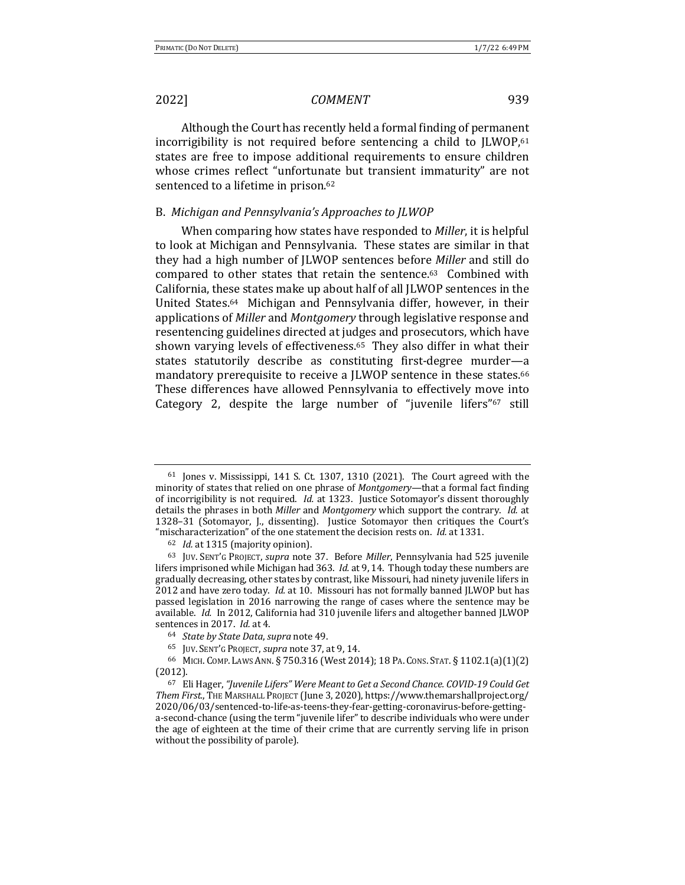Although the Court has recently held a formal finding of permanent incorrigibility is not required before sentencing a child to  $|LWOP,61|$ states are free to impose additional requirements to ensure children whose crimes reflect "unfortunate but transient immaturity" are not sentenced to a lifetime in prison.<sup>62</sup>

### B. Michigan and Pennsylvania's Approaches to JLWOP

When comparing how states have responded to *Miller*, it is helpful to look at Michigan and Pennsylvania. These states are similar in that they had a high number of JLWOP sentences before *Miller* and still do compared to other states that retain the sentence.<sup>63</sup> Combined with California, these states make up about half of all JLWOP sentences in the United States.<sup>64</sup> Michigan and Pennsylvania differ, however, in their applications of *Miller* and *Montgomery* through legislative response and resentencing guidelines directed at judges and prosecutors, which have shown varying levels of effectiveness.<sup>65</sup> They also differ in what their states statutorily describe as constituting first-degree murder—a mandatory prerequisite to receive a JLWOP sentence in these states.<sup>66</sup> These differences have allowed Pennsylvania to effectively move into Category 2, despite the large number of "juvenile lifers"<sup>67</sup> still

 $61$  Jones v. Mississippi, 141 S. Ct. 1307, 1310 (2021). The Court agreed with the minority of states that relied on one phrase of *Montgomery*—that a formal fact finding of incorrigibility is not required. *Id.* at 1323. Justice Sotomayor's dissent thoroughly details the phrases in both *Miller* and *Montgomery* which support the contrary. *Id.* at 1328-31 (Sotomayor, J., dissenting). Justice Sotomayor then critiques the Court's "mischaracterization" of the one statement the decision rests on. *Id.* at 1331.

<sup>&</sup>lt;sup>62</sup> *Id.* at 1315 (majority opinion).

<sup>63</sup> JUV. SENT'G PROJECT, *supra* note 37. Before *Miller*, Pennsylvania had 525 juvenile lifers imprisoned while Michigan had 363. *Id.* at 9, 14. Though today these numbers are gradually decreasing, other states by contrast, like Missouri, had ninety juvenile lifers in 2012 and have zero today. *Id.* at 10. Missouri has not formally banned JLWOP but has passed legislation in 2016 narrowing the range of cases where the sentence may be available. *Id.* In 2012, California had 310 juvenile lifers and altogether banned JLWOP sentences in 2017. *Id.* at 4.

<sup>64</sup> *State by State Data, supra* note 49.

<sup>&</sup>lt;sup>65</sup> JUV. SENT'G PROJECT, *supra* note 37, at 9, 14.

<sup>66</sup> MICH. COMP. LAWS ANN. § 750.316 (West 2014); 18 PA. CONS. STAT. § 1102.1(a)(1)(2) (2012).

<sup>67</sup> Eli Hager, "Juvenile Lifers" Were Meant to Get a Second Chance. COVID-19 Could Get Them First., THE MARSHALL PROJECT (June 3, 2020), https://www.themarshallproject.org/ 2020/06/03/sentenced-to-life-as-teens-they-fear-getting-coronavirus-before-gettinga-second-chance (using the term "juvenile lifer" to describe individuals who were under the age of eighteen at the time of their crime that are currently serving life in prison without the possibility of parole).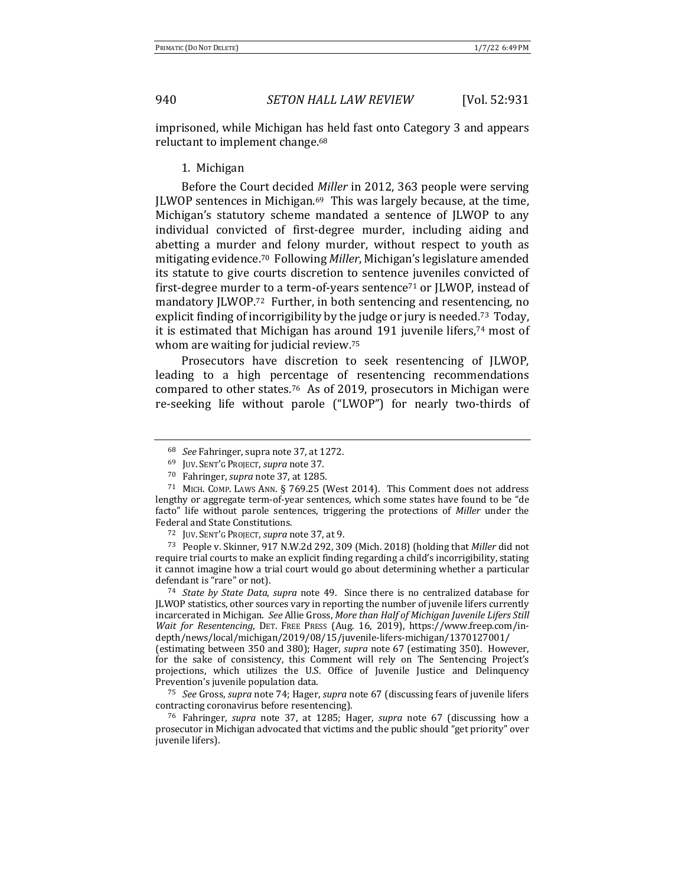imprisoned, while Michigan has held fast onto Category 3 and appears reluctant to implement change.<sup>68</sup>

### 1. Michigan

Before the Court decided *Miller* in 2012, 363 people were serving JLWOP sentences in Michigan. $69$  This was largely because, at the time, Michigan's statutory scheme mandated a sentence of JLWOP to any individual convicted of first-degree murder, including aiding and abetting a murder and felony murder, without respect to youth as mitigating evidence.<sup>70</sup> Following *Miller*, Michigan's legislature amended its statute to give courts discretion to sentence juveniles convicted of first-degree murder to a term-of-years sentence<sup> $71$ </sup> or  $|LWOP|$ , instead of mandatory JLWOP.<sup>72</sup> Further, in both sentencing and resentencing, no explicit finding of incorrigibility by the judge or jury is needed.<sup>73</sup> Today, it is estimated that Michigan has around  $191$  juvenile lifers,<sup>74</sup> most of whom are waiting for judicial review.<sup>75</sup>

Prosecutors have discretion to seek resentencing of JLWOP, leading to a high percentage of resentencing recommendations compared to other states.<sup>76</sup> As of 2019, prosecutors in Michigan were re-seeking life without parole ("LWOP") for nearly two-thirds of

<sup>68</sup> *See* Fahringer, supra note 37, at 1272.

<sup>&</sup>lt;sup>69</sup> JUV. SENT'G PROJECT, *supra* note 37.

<sup>&</sup>lt;sup>70</sup> Fahringer, *supra* note 37, at 1285.

 $71$  MICH. COMP. LAWS ANN. § 769.25 (West 2014). This Comment does not address lengthy or aggregate term-of-year sentences, which some states have found to be "de facto" life without parole sentences, triggering the protections of *Miller* under the Federal and State Constitutions.

<sup>72</sup> JUV. SENT'G PROJECT, *supra* note 37, at 9.

<sup>&</sup>lt;sup>73</sup> People v. Skinner, 917 N.W.2d 292, 309 (Mich. 2018) (holding that *Miller* did not require trial courts to make an explicit finding regarding a child's incorrigibility, stating it cannot imagine how a trial court would go about determining whether a particular defendant is "rare" or not).

<sup>&</sup>lt;sup>74</sup> *State by State Data, supra* note 49. Since there is no centralized database for JLWOP statistics, other sources vary in reporting the number of juvenile lifers currently incarcerated in Michigan. See Allie Gross, More than Half of Michigan Juvenile Lifers Still *Wait for Resentencing*, DET. FREE PRESS (Aug. 16, 2019), https://www.freep.com/indepth/news/local/michigan/2019/08/15/juvenile-lifers-michigan/1370127001/ 

<sup>(</sup>estimating between 350 and 380); Hager, *supra* note 67 (estimating 350). However, for the sake of consistency, this Comment will rely on The Sentencing Project's projections, which utilizes the U.S. Office of Juvenile Justice and Delinquency Prevention's juvenile population data.

<sup>&</sup>lt;sup>75</sup> *See* Gross, *supra* note 74; Hager, *supra* note 67 (discussing fears of juvenile lifers contracting coronavirus before resentencing).

<sup>&</sup>lt;sup>76</sup> Fahringer, *supra* note 37, at 1285; Hager, *supra* note 67 (discussing how a prosecutor in Michigan advocated that victims and the public should "get priority" over juvenile lifers).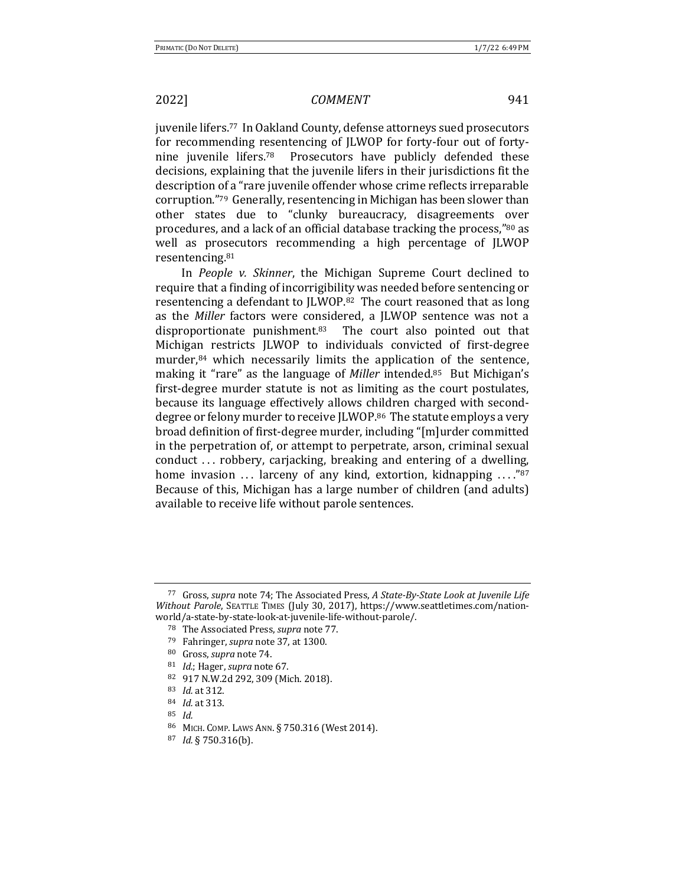juvenile lifers.<sup>77</sup> In Oakland County, defense attorneys sued prosecutors for recommending resentencing of JLWOP for forty-four out of fortynine juvenile lifers.<sup>78</sup> Prosecutors have publicly defended these decisions, explaining that the juvenile lifers in their jurisdictions fit the description of a "rare juvenile offender whose crime reflects irreparable corruption."<sup>79</sup> Generally, resentencing in Michigan has been slower than other states due to "clunky bureaucracy, disagreements over procedures, and a lack of an official database tracking the process,"80 as well as prosecutors recommending a high percentage of JLWOP resentencing.81

In *People v. Skinner*, the Michigan Supreme Court declined to require that a finding of incorrigibility was needed before sentencing or resentencing a defendant to JLWOP.<sup>82</sup> The court reasoned that as long as the *Miller* factors were considered, a JLWOP sentence was not a disproportionate punishment. $83$  The court also pointed out that Michigan restricts JLWOP to individuals convicted of first-degree murder, $84$  which necessarily limits the application of the sentence, making it "rare" as the language of *Miller* intended.<sup>85</sup> But Michigan's first-degree murder statute is not as limiting as the court postulates, because its language effectively allows children charged with seconddegree or felony murder to receive JLWOP.<sup>86</sup> The statute employs a very broad definition of first-degree murder, including "[m]urder committed in the perpetration of, or attempt to perpetrate, arson, criminal sexual conduct ... robbery, carjacking, breaking and entering of a dwelling, home invasion  $\ldots$  larceny of any kind, extortion, kidnapping  $\ldots$ ."<sup>87</sup> Because of this, Michigan has a large number of children (and adults) available to receive life without parole sentences.

<sup>&</sup>lt;sup>77</sup> Gross, *supra* note 74; The Associated Press, *A State-By-State Look at Juvenile Life Without Parole*, SEATTLE TIMES (July 30, 2017), https://www.seattletimes.com/nationworld/a-state-by-state-look-at-juvenile-life-without-parole/.

<sup>&</sup>lt;sup>78</sup> The Associated Press, *supra* note 77.

<sup>79</sup> Fahringer, *supra* note 37, at 1300.

<sup>&</sup>lt;sup>80</sup> Gross, *supra* note 74.

<sup>81</sup> *Id.*; Hager, *supra* note 67.

<sup>82 917</sup> N.W.2d 292, 309 (Mich. 2018).

<sup>83</sup> *Id.* at 312.

<sup>84</sup> *Id.* at 313.

<sup>85</sup> *Id.*

<sup>86</sup> MICH. COMP. LAWS ANN. § 750.316 (West 2014).

<sup>87</sup> *Id.* § 750.316(b).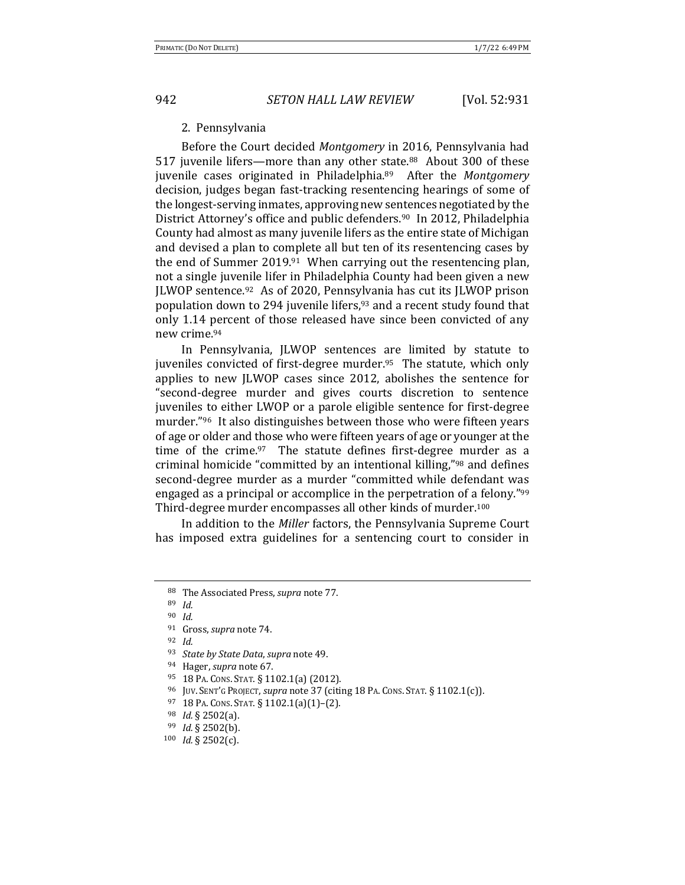### 2. Pennsylvania

Before the Court decided Montgomery in 2016, Pennsylvania had 517 juvenile lifers—more than any other state.<sup>88</sup> About 300 of these juvenile cases originated in Philadelphia.<sup>89</sup> After the *Montgomery* decision, judges began fast-tracking resentencing hearings of some of the longest-serving inmates, approving new sentences negotiated by the District Attorney's office and public defenders.<sup>90</sup> In 2012, Philadelphia County had almost as many juvenile lifers as the entire state of Michigan and devised a plan to complete all but ten of its resentencing cases by the end of Summer 2019.<sup>91</sup> When carrying out the resentencing plan, not a single juvenile lifer in Philadelphia County had been given a new JLWOP sentence.<sup>92</sup> As of 2020, Pennsylvania has cut its JLWOP prison population down to 294 juvenile lifers,<sup>93</sup> and a recent study found that only 1.14 percent of those released have since been convicted of any new crime.94 

In Pennsylvania, JLWOP sentences are limited by statute to juveniles convicted of first-degree murder.<sup>95</sup> The statute, which only applies to new JLWOP cases since 2012, abolishes the sentence for "second-degree murder and gives courts discretion to sentence juveniles to either LWOP or a parole eligible sentence for first-degree murder." $96$  It also distinguishes between those who were fifteen years of age or older and those who were fifteen years of age or younger at the time of the crime. $97$  The statute defines first-degree murder as a criminal homicide "committed by an intentional killing,"<sup>98</sup> and defines second-degree murder as a murder "committed while defendant was engaged as a principal or accomplice in the perpetration of a felony."<sup>99</sup> Third-degree murder encompasses all other kinds of murder.<sup>100</sup>

In addition to the *Miller* factors, the Pennsylvania Supreme Court has imposed extra guidelines for a sentencing court to consider in

- $95$  18 PA. CONS. STAT. § 1102.1(a) (2012).
- <sup>96</sup> JUV. SENT'G PROJECT, *supra* note 37 (citing 18 PA. CONS. STAT. § 1102.1(c)).
- 97 18 PA. CONS. STAT. § 1102.1(a)(1)-(2).
- <sup>98</sup> *Id.* § 2502(a).

<sup>88</sup> The Associated Press, *supra* note 77.

<sup>89</sup> *Id.*

<sup>90</sup> *Id.*

<sup>&</sup>lt;sup>91</sup> Gross, *supra* note 74.

<sup>92</sup> *Id.*

<sup>&</sup>lt;sup>93</sup> *State by State Data, supra* note 49.

<sup>94</sup> Hager, *supra* note 67.

<sup>99</sup> *Id.* § 2502(b).

<sup>100</sup> *Id.* § 2502(c).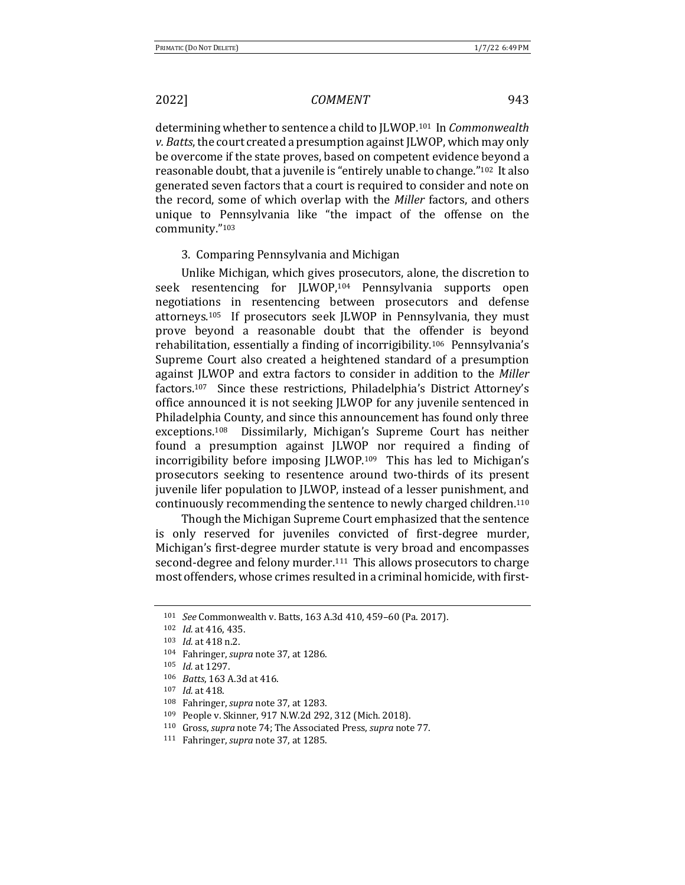determining whether to sentence a child to JLWOP.<sup>101</sup> In *Commonwealth v. Batts*, the court created a presumption against JLWOP, which may only be overcome if the state proves, based on competent evidence beyond a reasonable doubt, that a juvenile is "entirely unable to change."<sup>102</sup> It also generated seven factors that a court is required to consider and note on the record, some of which overlap with the *Miller* factors, and others unique to Pennsylvania like "the impact of the offense on the community."103 

### 3. Comparing Pennsylvania and Michigan

Unlike Michigan, which gives prosecutors, alone, the discretion to seek resentencing for JLWOP,<sup>104</sup> Pennsylvania supports open negotiations in resentencing between prosecutors and defense attorneys.<sup>105</sup> If prosecutors seek JLWOP in Pennsylvania, they must prove beyond a reasonable doubt that the offender is beyond rehabilitation, essentially a finding of incorrigibility.<sup>106</sup> Pennsylvania's Supreme Court also created a heightened standard of a presumption against JLWOP and extra factors to consider in addition to the *Miller* factors.<sup>107</sup> Since these restrictions, Philadelphia's District Attorney's office announced it is not seeking JLWOP for any juvenile sentenced in Philadelphia County, and since this announcement has found only three exceptions.<sup>108</sup> Dissimilarly, Michigan's Supreme Court has neither found a presumption against JLWOP nor required a finding of incorrigibility before imposing JLWOP.<sup>109</sup> This has led to Michigan's prosecutors seeking to resentence around two-thirds of its present juvenile lifer population to JLWOP, instead of a lesser punishment, and continuously recommending the sentence to newly charged children.<sup>110</sup>

Though the Michigan Supreme Court emphasized that the sentence is only reserved for juveniles convicted of first-degree murder, Michigan's first-degree murder statute is very broad and encompasses second-degree and felony murder.<sup>111</sup> This allows prosecutors to charge most offenders, whose crimes resulted in a criminal homicide, with first-

<sup>101</sup> *See* Commonwealth v. Batts, 163 A.3d 410, 459-60 (Pa. 2017).

<sup>102</sup> *Id.* at 416, 435.

<sup>103</sup> *Id.* at 418 n.2.

<sup>104</sup> Fahringer, *supra* note 37, at 1286.

<sup>105</sup> *Id.* at 1297.

<sup>106</sup> *Batts*, 163 A.3d at 416.

<sup>107</sup> *Id.* at 418.

<sup>108</sup> Fahringer, *supra* note 37, at 1283.

<sup>109</sup> People v. Skinner, 917 N.W.2d 292, 312 (Mich. 2018).

<sup>&</sup>lt;sup>110</sup> Gross, *supra* note 74; The Associated Press, *supra* note 77.

<sup>111</sup> Fahringer, *supra* note 37, at 1285.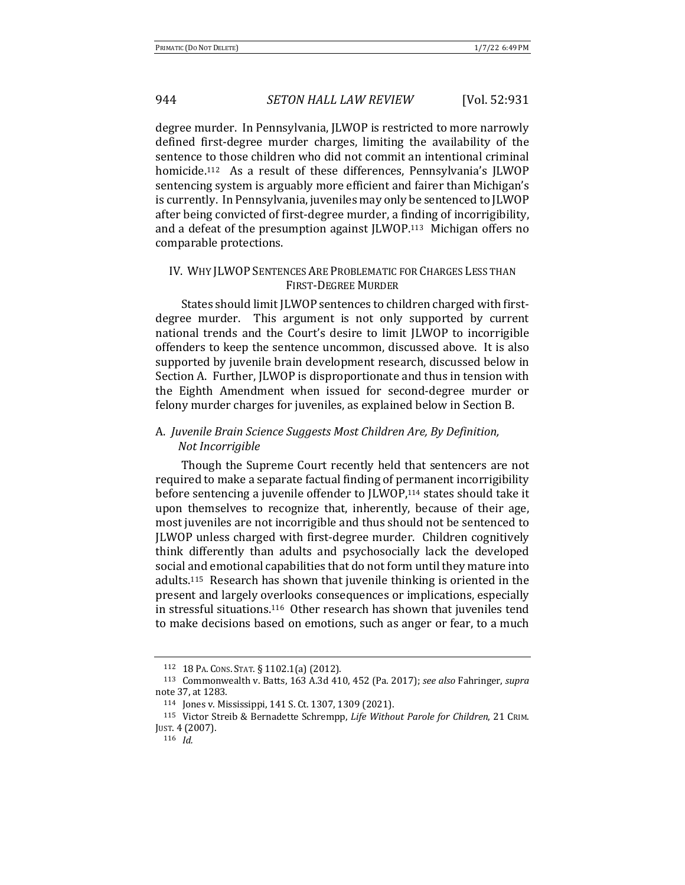degree murder. In Pennsylvania, JLWOP is restricted to more narrowly defined first-degree murder charges, limiting the availability of the sentence to those children who did not commit an intentional criminal homicide.<sup>112</sup> As a result of these differences, Pennsylvania's JLWOP sentencing system is arguably more efficient and fairer than Michigan's is currently. In Pennsylvania, juveniles may only be sentenced to JLWOP after being convicted of first-degree murder, a finding of incorrigibility, and a defeat of the presumption against  $|LWOP<sub>113</sub>$  Michigan offers no comparable protections.

### IV. WHY JLWOP SENTENCES ARE PROBLEMATIC FOR CHARGES LESS THAN FIRST-DEGREE MURDER

States should limit JLWOP sentences to children charged with firstdegree murder. This argument is not only supported by current national trends and the Court's desire to limit *ILWOP* to incorrigible offenders to keep the sentence uncommon, discussed above. It is also supported by juvenile brain development research, discussed below in Section A. Further, JLWOP is disproportionate and thus in tension with the Eighth Amendment when issued for second-degree murder or felony murder charges for juveniles, as explained below in Section B.

## A. *Juvenile Brain Science Suggests Most Children Are, By Definition, Not Incorrigible*

Though the Supreme Court recently held that sentencers are not required to make a separate factual finding of permanent incorrigibility before sentencing a juvenile offender to JLWOP,<sup>114</sup> states should take it upon themselves to recognize that, inherently, because of their age, most juveniles are not incorrigible and thus should not be sentenced to JLWOP unless charged with first-degree murder. Children cognitively think differently than adults and psychosocially lack the developed social and emotional capabilities that do not form until they mature into adults.<sup>115</sup> Research has shown that juvenile thinking is oriented in the present and largely overlooks consequences or implications, especially in stressful situations.<sup>116</sup> Other research has shown that juveniles tend to make decisions based on emotions, such as anger or fear, to a much

<sup>112 18</sup> PA. CONS. STAT. § 1102.1(a) (2012).

<sup>&</sup>lt;sup>113</sup> Commonwealth v. Batts, 163 A.3d 410, 452 (Pa. 2017); see also Fahringer, supra note 37, at 1283.

<sup>114</sup> Jones v. Mississippi, 141 S. Ct. 1307, 1309 (2021).

<sup>115</sup> Victor Streib & Bernadette Schrempp, *Life Without Parole for Children*, 21 CRIM. JUST. 4 (2007).

<sup>116</sup> *Id.*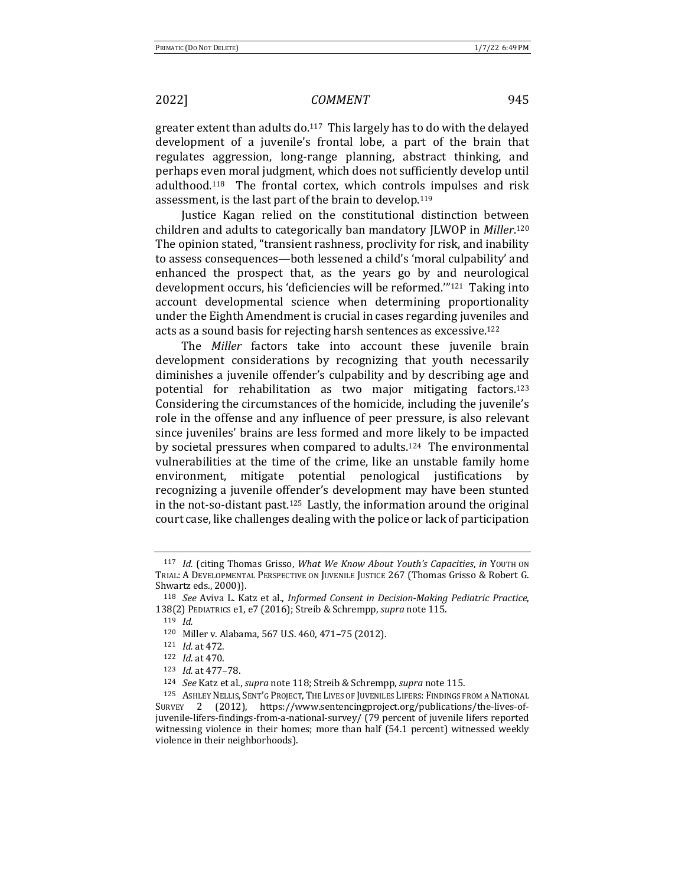greater extent than adults  $\frac{d}{dt}$ . This largely has to do with the delayed development of a juvenile's frontal lobe, a part of the brain that regulates aggression, long-range planning, abstract thinking, and perhaps even moral judgment, which does not sufficiently develop until adulthood.<sup>118</sup> The frontal cortex, which controls impulses and risk assessment, is the last part of the brain to develop.<sup>119</sup>

Justice Kagan relied on the constitutional distinction between children and adults to categorically ban mandatory JLWOP in *Miller*.<sup>120</sup> The opinion stated, "transient rashness, proclivity for risk, and inability to assess consequences—both lessened a child's 'moral culpability' and enhanced the prospect that, as the years go by and neurological development occurs, his 'deficiencies will be reformed."<sup>121</sup> Taking into account developmental science when determining proportionality under the Eighth Amendment is crucial in cases regarding juveniles and acts as a sound basis for rejecting harsh sentences as excessive.<sup>122</sup>

The *Miller* factors take into account these juvenile brain development considerations by recognizing that youth necessarily diminishes a juvenile offender's culpability and by describing age and potential for rehabilitation as two major mitigating factors.<sup>123</sup> Considering the circumstances of the homicide, including the juvenile's role in the offense and any influence of peer pressure, is also relevant since juveniles' brains are less formed and more likely to be impacted by societal pressures when compared to adults.<sup>124</sup> The environmental vulnerabilities at the time of the crime, like an unstable family home environment, mitigate potential penological justifications by recognizing a juvenile offender's development may have been stunted in the not-so-distant past.<sup>125</sup> Lastly, the information around the original court case, like challenges dealing with the police or lack of participation

<sup>117</sup> *Id.* (citing Thomas Grisso, What We Know About Youth's Capacities, in YOUTH ON TRIAL: A DEVELOPMENTAL PERSPECTIVE ON JUVENILE JUSTICE 267 (Thomas Grisso & Robert G. Shwartz eds., 2000)).

<sup>&</sup>lt;sup>118</sup> *See* Aviva L. Katz et al., *Informed Consent in Decision-Making Pediatric Practice*, 138(2) PEDIATRICS e1, e7 (2016); Streib & Schrempp, *supra* note 115.

<sup>119</sup> *Id.*

<sup>120</sup> Miller v. Alabama, 567 U.S. 460, 471-75 (2012).

<sup>121</sup> *Id.* at 472.

<sup>122</sup> *Id.* at 470.

<sup>123</sup> *Id.* at 477-78.

<sup>124</sup> *See* Katz et al., *supra* note 118; Streib & Schrempp, *supra* note 115.

<sup>125</sup> ASHLEY NELLIS, SENT'G PROJECT, THE LIVES OF JUVENILES LIFERS: FINDINGS FROM A NATIONAL SURVEY 2 (2012), https://www.sentencingproject.org/publications/the-lives-ofjuvenile-lifers-findings-from-a-national-survey/ (79 percent of juvenile lifers reported witnessing violence in their homes; more than half (54.1 percent) witnessed weekly violence in their neighborhoods).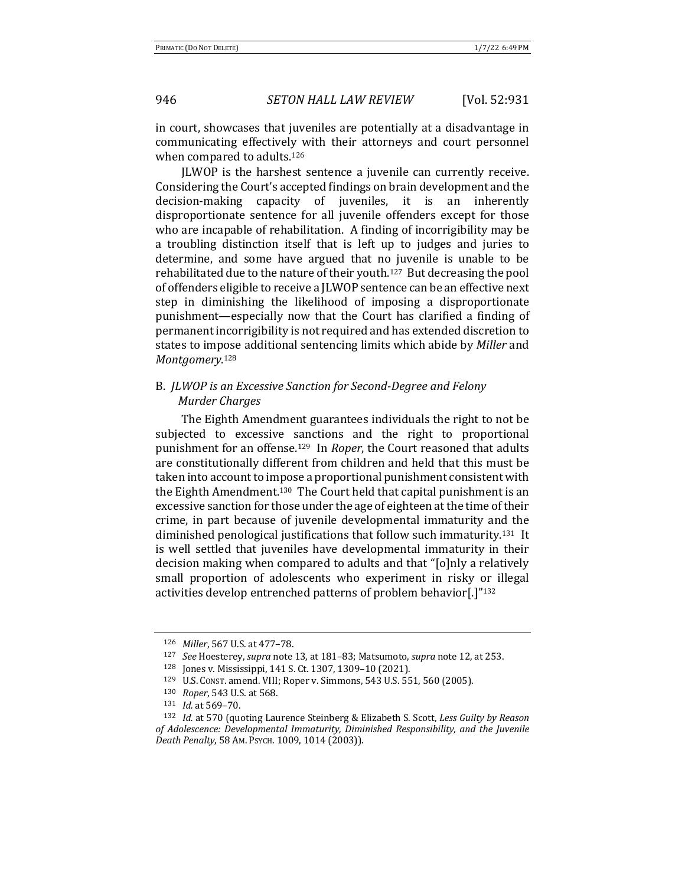in court, showcases that juveniles are potentially at a disadvantage in communicating effectively with their attorneys and court personnel when compared to adults.<sup>126</sup>

JLWOP is the harshest sentence a juvenile can currently receive. Considering the Court's accepted findings on brain development and the decision-making capacity of juveniles, it is an inherently disproportionate sentence for all juvenile offenders except for those who are incapable of rehabilitation. A finding of incorrigibility may be a troubling distinction itself that is left up to judges and juries to determine, and some have argued that no juvenile is unable to be rehabilitated due to the nature of their youth.<sup>127</sup> But decreasing the pool of offenders eligible to receive a JLWOP sentence can be an effective next step in diminishing the likelihood of imposing a disproportionate punishment—especially now that the Court has clarified a finding of permanent incorrigibility is not required and has extended discretion to states to impose additional sentencing limits which abide by *Miller* and *Montgomery*. 128

## B. *JLWOP* is an Excessive Sanction for Second-Degree and Felony *Murder Charges*

The Eighth Amendment guarantees individuals the right to not be subjected to excessive sanctions and the right to proportional punishment for an offense.<sup>129</sup> In *Roper*, the Court reasoned that adults are constitutionally different from children and held that this must be taken into account to impose a proportional punishment consistent with the Eighth Amendment.<sup>130</sup> The Court held that capital punishment is an excessive sanction for those under the age of eighteen at the time of their crime, in part because of juvenile developmental immaturity and the diminished penological justifications that follow such immaturity.<sup>131</sup> It is well settled that juveniles have developmental immaturity in their decision making when compared to adults and that "[o]nly a relatively small proportion of adolescents who experiment in risky or illegal activities develop entrenched patterns of problem behavior[.]"132

<sup>126</sup> *Miller*, 567 U.S. at 477-78.

<sup>127</sup> *See* Hoesterey, *supra* note 13, at 181-83; Matsumoto, *supra* note 12, at 253.

<sup>128</sup> Jones v. Mississippi, 141 S. Ct. 1307, 1309-10 (2021).

<sup>129</sup> U.S. Const. amend. VIII; Roper v. Simmons, 543 U.S. 551, 560 (2005).

<sup>130</sup> *Roper*, 543 U.S. at 568.

<sup>131</sup> *Id.* at 569-70.

<sup>132</sup> *Id.* at 570 (quoting Laurence Steinberg & Elizabeth S. Scott, Less Guilty by Reason of Adolescence: Developmental Immaturity, Diminished Responsibility, and the Juvenile *Death Penalty*, 58 AM. PSYCH. 1009, 1014 (2003)).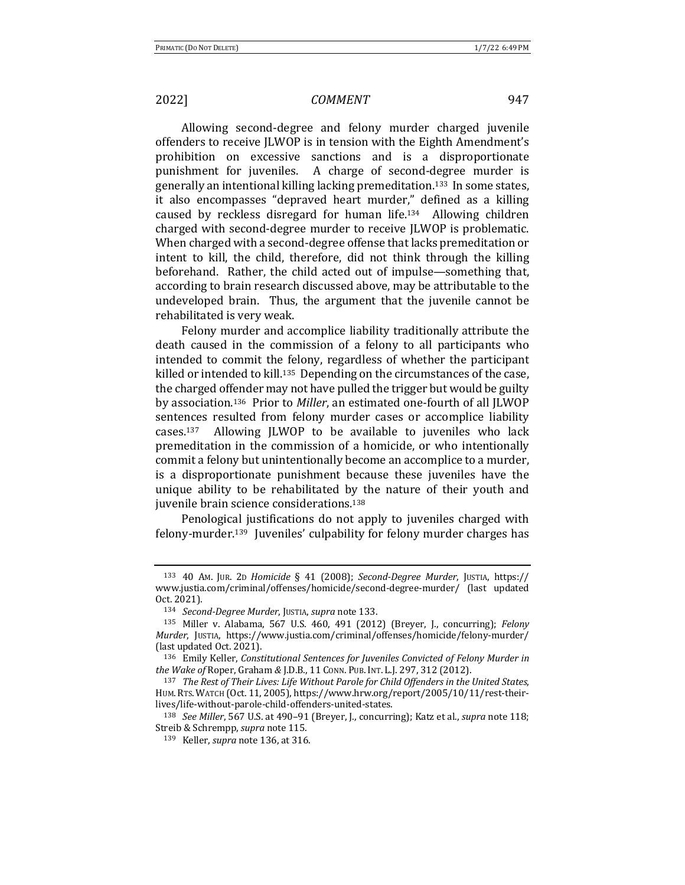Allowing second-degree and felony murder charged juvenile offenders to receive JLWOP is in tension with the Eighth Amendment's prohibition on excessive sanctions and is a disproportionate punishment for juveniles. A charge of second-degree murder is generally an intentional killing lacking premeditation.<sup>133</sup> In some states, it also encompasses "depraved heart murder," defined as a killing caused by reckless disregard for human life.<sup>134</sup> Allowing children charged with second-degree murder to receive *[LWOP* is problematic. When charged with a second-degree offense that lacks premeditation or intent to kill, the child, therefore, did not think through the killing beforehand. Rather, the child acted out of impulse—something that, according to brain research discussed above, may be attributable to the undeveloped brain. Thus, the argument that the juvenile cannot be rehabilitated is very weak.

Felony murder and accomplice liability traditionally attribute the death caused in the commission of a felony to all participants who intended to commit the felony, regardless of whether the participant killed or intended to kill.<sup>135</sup> Depending on the circumstances of the case, the charged offender may not have pulled the trigger but would be guilty by association.<sup>136</sup> Prior to *Miller*, an estimated one-fourth of all JLWOP sentences resulted from felony murder cases or accomplice liability cases.<sup>137</sup> Allowing JLWOP to be available to juveniles who lack premeditation in the commission of a homicide, or who intentionally commit a felony but unintentionally become an accomplice to a murder, is a disproportionate punishment because these juveniles have the unique ability to be rehabilitated by the nature of their youth and juvenile brain science considerations.<sup>138</sup>

Penological justifications do not apply to juveniles charged with felony-murder.<sup>139</sup> Juveniles' culpability for felony murder charges has

<sup>138</sup> *See Miller*, 567 U.S. at 490–91 (Breyer, J., concurring); Katz et al., *supra* note 118; Streib & Schrempp, *supra* note 115.

<sup>133</sup> 40 AM. JUR. 2D *Homicide* § 41 (2008); *Second-Degree Murder*, JUSTIA, https:// www.justia.com/criminal/offenses/homicide/second-degree-murder/ (last updated Oct. 2021).

<sup>134</sup> *Second-Degree Murder*, JUSTIA, *supra* note 133.

<sup>135</sup> Miller v. Alabama, 567 U.S. 460, 491 (2012) (Breyer, J., concurring); *Felony Murder*, JUSTIA, https://www.justia.com/criminal/offenses/homicide/felony-murder/ (last updated Oct. 2021).

<sup>&</sup>lt;sup>136</sup> Emily Keller, *Constitutional Sentences for Juveniles Convicted of Felony Murder in the Wake of Roper, Graham & J.D.B., 11 Conn. Pub. Int. L.J. 297, 312 (2012).* 

<sup>&</sup>lt;sup>137</sup> The Rest of Their Lives: Life Without Parole for Child Offenders in the United States, HUM.RTS. WATCH (Oct. 11, 2005), https://www.hrw.org/report/2005/10/11/rest-theirlives/life-without-parole-child-offenders-united-states.

<sup>139</sup> Keller, *supra* note 136, at 316.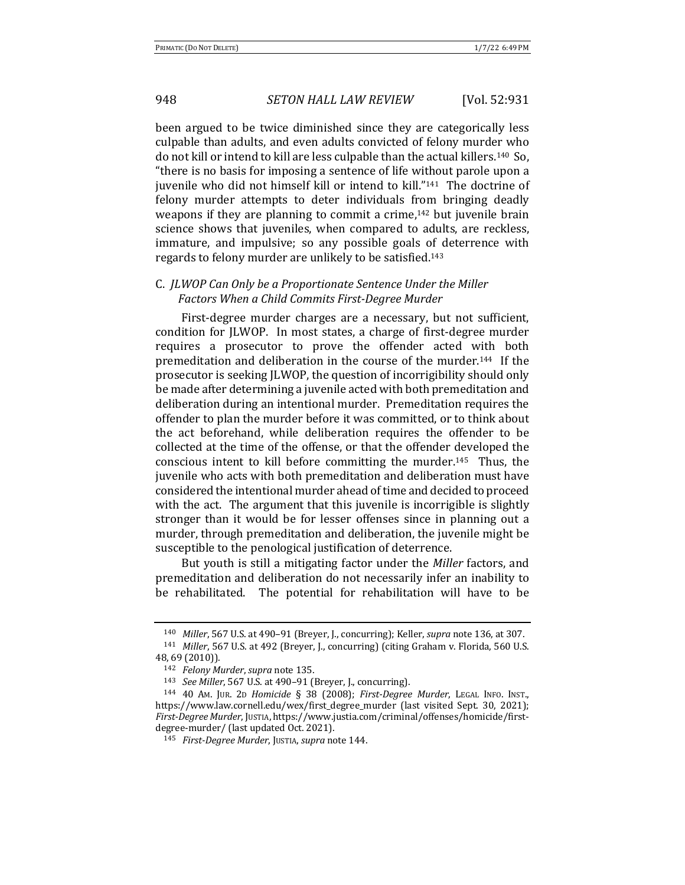been argued to be twice diminished since they are categorically less culpable than adults, and even adults convicted of felony murder who do not kill or intend to kill are less culpable than the actual killers.<sup>140</sup> So, "there is no basis for imposing a sentence of life without parole upon a juvenile who did not himself kill or intend to kill."<sup>141</sup> The doctrine of felony murder attempts to deter individuals from bringing deadly weapons if they are planning to commit a crime, $142$  but juvenile brain science shows that juveniles, when compared to adults, are reckless, immature, and impulsive; so any possible goals of deterrence with regards to felony murder are unlikely to be satisfied.<sup>143</sup>

## C. *JLWOP* Can Only be a Proportionate Sentence Under the Miller *Factors When a Child Commits First-Degree Murder*

First-degree murder charges are a necessary, but not sufficient, condition for JLWOP. In most states, a charge of first-degree murder requires a prosecutor to prove the offender acted with both premeditation and deliberation in the course of the murder.<sup>144</sup> If the prosecutor is seeking JLWOP, the question of incorrigibility should only be made after determining a juvenile acted with both premeditation and deliberation during an intentional murder. Premeditation requires the offender to plan the murder before it was committed, or to think about the act beforehand, while deliberation requires the offender to be collected at the time of the offense, or that the offender developed the conscious intent to kill before committing the murder.<sup>145</sup> Thus, the juvenile who acts with both premeditation and deliberation must have considered the intentional murder ahead of time and decided to proceed with the act. The argument that this juvenile is incorrigible is slightly stronger than it would be for lesser offenses since in planning out a murder, through premeditation and deliberation, the juvenile might be susceptible to the penological justification of deterrence.

But youth is still a mitigating factor under the *Miller* factors, and premeditation and deliberation do not necessarily infer an inability to be rehabilitated. The potential for rehabilitation will have to be

<sup>&</sup>lt;sup>140</sup> Miller, 567 U.S. at 490-91 (Breyer, J., concurring); Keller, *supra* note 136, at 307. 141 *Miller*, 567 U.S. at 492 (Breyer, J., concurring) (citing Graham v. Florida, 560 U.S.

<sup>48, 69 (2010)).</sup>

<sup>142</sup> *Felony Murder*, *supra* note 135.

<sup>143</sup> *See Miller*, 567 U.S. at 490-91 (Breyer, J., concurring).

<sup>&</sup>lt;sup>144</sup> 40 AM. JUR. 2D *Homicide* § 38 (2008); *First-Degree Murder*, LEGAL INFO. INST., https://www.law.cornell.edu/wex/first\_degree\_murder (last visited Sept. 30, 2021); *First-Degree Murder*, JUSTIA, https://www.justia.com/criminal/offenses/homicide/firstdegree-murder/ (last updated Oct. 2021).

<sup>145</sup> *First-Degree Murder*, JUSTIA, *supra* note 144.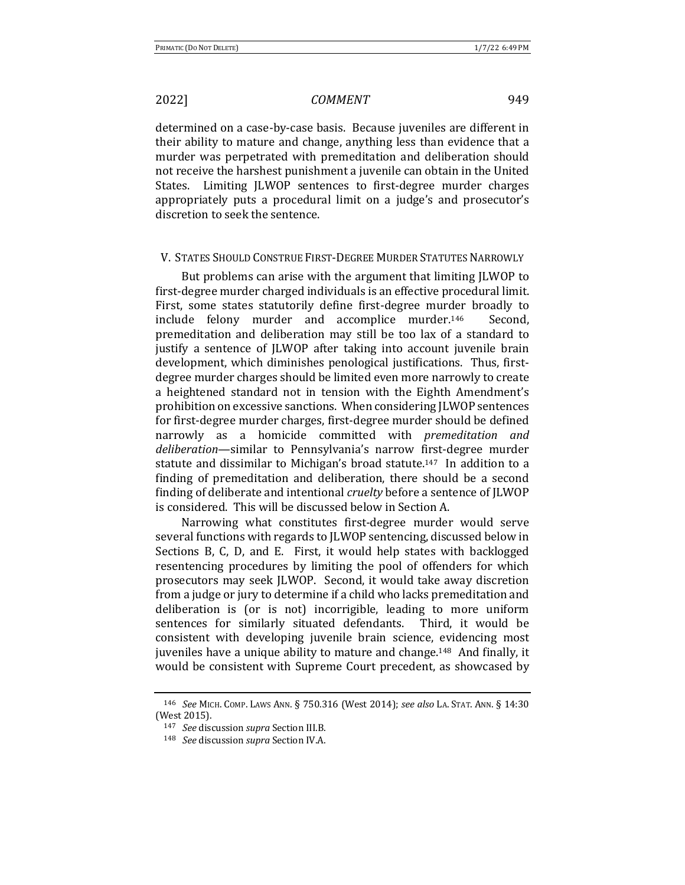determined on a case-by-case basis. Because juveniles are different in their ability to mature and change, anything less than evidence that a murder was perpetrated with premeditation and deliberation should not receive the harshest punishment a juvenile can obtain in the United States. Limiting JLWOP sentences to first-degree murder charges appropriately puts a procedural limit on a judge's and prosecutor's discretion to seek the sentence.

### V. STATES SHOULD CONSTRUE FIRST-DEGREE MURDER STATUTES NARROWLY

But problems can arise with the argument that limiting JLWOP to first-degree murder charged individuals is an effective procedural limit. First, some states statutorily define first-degree murder broadly to include felony murder and accomplice murder.<sup>146</sup> Second, premeditation and deliberation may still be too lax of a standard to justify a sentence of JLWOP after taking into account juvenile brain development, which diminishes penological justifications. Thus, firstdegree murder charges should be limited even more narrowly to create a heightened standard not in tension with the Eighth Amendment's prohibition on excessive sanctions. When considering JLWOP sentences for first-degree murder charges, first-degree murder should be defined narrowly as a homicide committed with *premeditation and* deliberation—similar to Pennsylvania's narrow first-degree murder statute and dissimilar to Michigan's broad statute.<sup>147</sup> In addition to a finding of premeditation and deliberation, there should be a second finding of deliberate and intentional *cruelty* before a sentence of JLWOP is considered. This will be discussed below in Section A.

Narrowing what constitutes first-degree murder would serve several functions with regards to JLWOP sentencing, discussed below in Sections B, C, D, and E. First, it would help states with backlogged resentencing procedures by limiting the pool of offenders for which prosecutors may seek [LWOP. Second, it would take away discretion from a judge or jury to determine if a child who lacks premeditation and deliberation is (or is not) incorrigible, leading to more uniform sentences for similarly situated defendants. Third, it would be consistent with developing juvenile brain science, evidencing most juveniles have a unique ability to mature and change.<sup>148</sup> And finally, it would be consistent with Supreme Court precedent, as showcased by

<sup>146</sup> *See* MICH. COMP. LAWS ANN. § 750.316 (West 2014); *see also* LA. STAT. ANN. § 14:30 (West 2015).

<sup>147</sup> *See* discussion *supra* Section III.B.

<sup>148</sup> *See* discussion *supra* Section IV.A.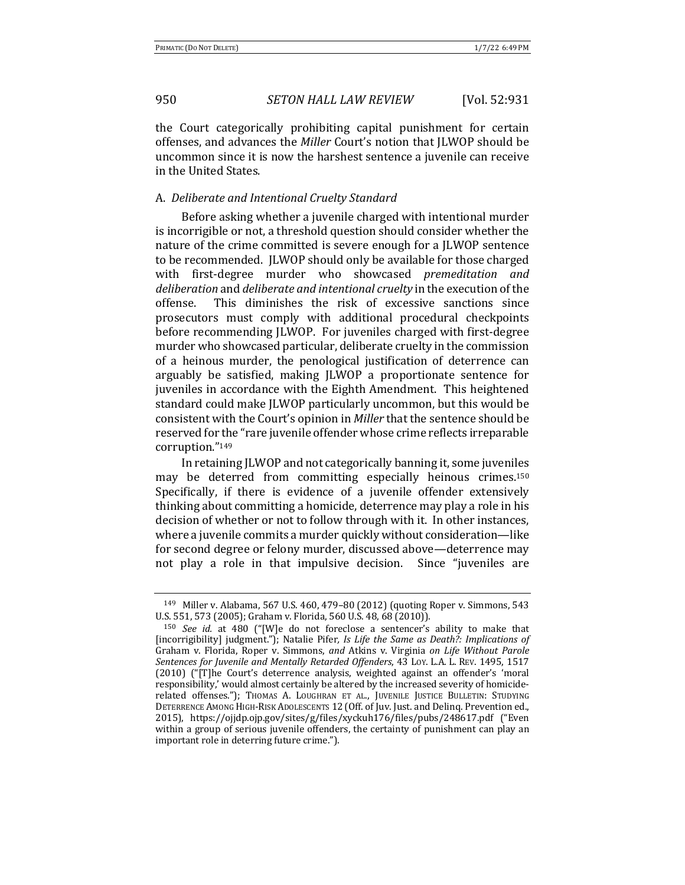the Court categorically prohibiting capital punishment for certain offenses, and advances the *Miller* Court's notion that JLWOP should be uncommon since it is now the harshest sentence a juvenile can receive in the United States.

### A. *Deliberate and Intentional Cruelty Standard*

Before asking whether a juvenile charged with intentional murder is incorrigible or not, a threshold question should consider whether the nature of the crime committed is severe enough for a JLWOP sentence to be recommended. *[LWOP should only be available for those charged* with first-degree murder who showcased *premeditation and* deliberation and deliberate and intentional cruelty in the execution of the offense. This diminishes the risk of excessive sanctions since prosecutors must comply with additional procedural checkpoints before recommending JLWOP. For juveniles charged with first-degree murder who showcased particular, deliberate cruelty in the commission of a heinous murder, the penological justification of deterrence can arguably be satisfied, making JLWOP a proportionate sentence for juveniles in accordance with the Eighth Amendment. This heightened standard could make JLWOP particularly uncommon, but this would be consistent with the Court's opinion in *Miller* that the sentence should be reserved for the "rare juvenile offender whose crime reflects irreparable corruption."149

In retaining JLWOP and not categorically banning it, some juveniles may be deterred from committing especially heinous crimes.<sup>150</sup> Specifically, if there is evidence of a juvenile offender extensively thinking about committing a homicide, deterrence may play a role in his decision of whether or not to follow through with it. In other instances, where a juvenile commits a murder quickly without consideration-like for second degree or felony murder, discussed above—deterrence may not play a role in that impulsive decision. Since "juveniles are

 $149$  Miller v. Alabama, 567 U.S. 460, 479–80 (2012) (quoting Roper v. Simmons, 543 U.S. 551, 573 (2005); Graham v. Florida, 560 U.S. 48, 68 (2010)).

<sup>&</sup>lt;sup>150</sup> *See id.* at 480 ("[W]e do not foreclose a sentencer's ability to make that [incorrigibility] judgment."); Natalie Pifer, *Is Life the Same as Death?: Implications of* Graham v. Florida, Roper v. Simmons, and Atkins v. Virginia on Life Without Parole Sentences for Juvenile and Mentally Retarded Offenders, 43 Loy. L.A. L. REV. 1495, 1517 (2010) ("[T]he Court's deterrence analysis, weighted against an offender's 'moral responsibility,' would almost certainly be altered by the increased severity of homiciderelated offenses."); THOMAS A. LOUGHRAN ET AL., JUVENILE JUSTICE BULLETIN: STUDYING DETERRENCE AMONG HIGH-RISK ADOLESCENTS 12 (Off. of Juv. Just. and Delinq. Prevention ed., 2015), https://ojjdp.ojp.gov/sites/g/files/xyckuh176/files/pubs/248617.pdf ("Even within a group of serious juvenile offenders, the certainty of punishment can play an important role in deterring future crime.").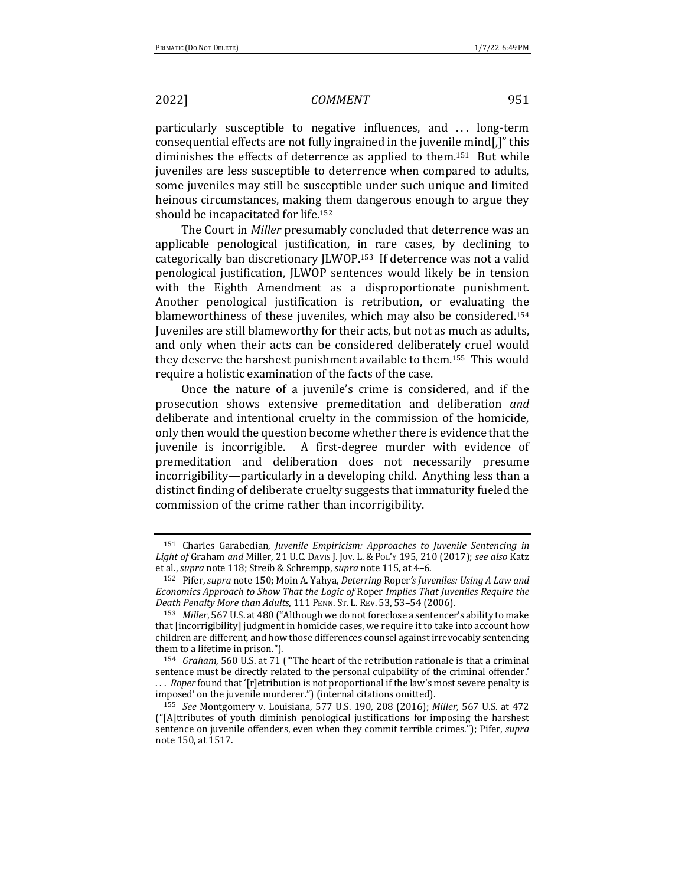particularly susceptible to negative influences, and ... long-term consequential effects are not fully ingrained in the juvenile mind. I'' this diminishes the effects of deterrence as applied to them.<sup>151</sup> But while juveniles are less susceptible to deterrence when compared to adults, some juveniles may still be susceptible under such unique and limited heinous circumstances, making them dangerous enough to argue they should be incapacitated for life.<sup>152</sup>

The Court in *Miller* presumably concluded that deterrence was an applicable penological justification, in rare cases, by declining to categorically ban discretionary JLWOP.<sup>153</sup> If deterrence was not a valid penological justification, JLWOP sentences would likely be in tension with the Eighth Amendment as a disproportionate punishment. Another penological justification is retribution, or evaluating the blameworthiness of these juveniles, which may also be considered.<sup>154</sup> Juveniles are still blameworthy for their acts, but not as much as adults, and only when their acts can be considered deliberately cruel would they deserve the harshest punishment available to them.<sup>155</sup> This would require a holistic examination of the facts of the case.

Once the nature of a juvenile's crime is considered, and if the prosecution shows extensive premeditation and deliberation *and* deliberate and intentional cruelty in the commission of the homicide, only then would the question become whether there is evidence that the juvenile is incorrigible. A first-degree murder with evidence of premeditation and deliberation does not necessarily presume incorrigibility—particularly in a developing child. Anything less than a distinct finding of deliberate cruelty suggests that immaturity fueled the commission of the crime rather than incorrigibility.

<sup>&</sup>lt;sup>151</sup> Charles Garabedian, *Juvenile Empiricism: Approaches to Juvenile Sentencing in* Light of Graham and Miller, 21 U.C. DAVIS J. JUV. L. & PoL'Y 195, 210 (2017); see also Katz et al., *supra* note 118; Streib & Schrempp, *supra* note 115, at 4-6.

<sup>152</sup> Pifer, *supra* note 150; Moin A. Yahya, *Deterring* Roper's Juveniles: Using A Law and *Economics Approach to Show That the Logic of Roper Implies That Juveniles Require the Death Penalty More than Adults*, 111 PENN. ST. L. REV. 53, 53-54 (2006).

<sup>153</sup> *Miller*, 567 U.S. at 480 ("Although we do not foreclose a sentencer's ability to make that [incorrigibility] judgment in homicide cases, we require it to take into account how children are different, and how those differences counsel against irrevocably sentencing them to a lifetime in prison.").

<sup>&</sup>lt;sup>154</sup> *Graham*, 560 U.S. at 71 ("The heart of the retribution rationale is that a criminal sentence must be directly related to the personal culpability of the criminal offender.' ... *Roper* found that '[r]etribution is not proportional if the law's most severe penalty is imposed' on the juvenile murderer.") (internal citations omitted).

<sup>155</sup> *See* Montgomery v. Louisiana, 577 U.S. 190, 208 (2016); *Miller*, 567 U.S. at 472 ("[A]ttributes of youth diminish penological justifications for imposing the harshest sentence on juvenile offenders, even when they commit terrible crimes."); Pifer, *supra* note 150, at 1517.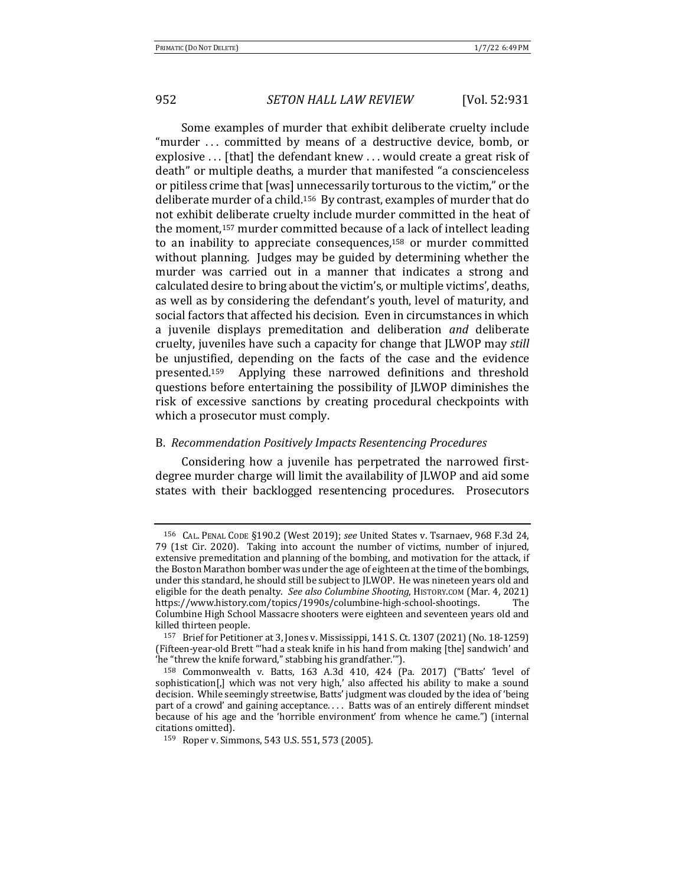Some examples of murder that exhibit deliberate cruelty include "murder ... committed by means of a destructive device, bomb, or explosive  $\ldots$  [that] the defendant knew  $\ldots$  would create a great risk of death" or multiple deaths, a murder that manifested "a conscienceless or pitiless crime that [was] unnecessarily torturous to the victim," or the deliberate murder of a child.<sup>156</sup> By contrast, examples of murder that do not exhibit deliberate cruelty include murder committed in the heat of the moment,<sup>157</sup> murder committed because of a lack of intellect leading to an inability to appreciate consequences,<sup>158</sup> or murder committed without planning. Judges may be guided by determining whether the murder was carried out in a manner that indicates a strong and calculated desire to bring about the victim's, or multiple victims', deaths, as well as by considering the defendant's youth, level of maturity, and social factors that affected his decision. Even in circumstances in which a juvenile displays premeditation and deliberation *and* deliberate cruelty, juveniles have such a capacity for change that JLWOP may *still* be unjustified, depending on the facts of the case and the evidence presented.<sup>159</sup> Applying these narrowed definitions and threshold questions before entertaining the possibility of JLWOP diminishes the risk of excessive sanctions by creating procedural checkpoints with which a prosecutor must comply.

### B. *Recommendation Positively Impacts Resentencing Procedures*

Considering how a juvenile has perpetrated the narrowed firstdegree murder charge will limit the availability of JLWOP and aid some states with their backlogged resentencing procedures. Prosecutors

<sup>&</sup>lt;sup>156</sup> CAL. PENAL CODE §190.2 (West 2019); see United States v. Tsarnaev, 968 F.3d 24, 79 (1st Cir. 2020). Taking into account the number of victims, number of injured, extensive premeditation and planning of the bombing, and motivation for the attack, if the Boston Marathon bomber was under the age of eighteen at the time of the bombings, under this standard, he should still be subject to JLWOP. He was nineteen years old and eligible for the death penalty. *See also Columbine Shooting*, HISTORY.COM (Mar. 4, 2021) https://www.history.com/topics/1990s/columbine-high-school-shootings. The Columbine High School Massacre shooters were eighteen and seventeen years old and killed thirteen people.

<sup>157</sup> Brief for Petitioner at 3, Jones v. Mississippi, 141 S. Ct. 1307 (2021) (No. 18-1259) (Fifteen-year-old Brett "'had a steak knife in his hand from making [the] sandwich' and 'he "threw the knife forward," stabbing his grandfather."").

 $158$  Commonwealth v. Batts,  $163$  A.3d  $410$ ,  $424$  (Pa. 2017) ("Batts' 'level of sophistication[,] which was not very high,' also affected his ability to make a sound decision. While seemingly streetwise, Batts' judgment was clouded by the idea of 'being part of a crowd' and gaining acceptance.... Batts was of an entirely different mindset because of his age and the 'horrible environment' from whence he came.") (internal citations omitted).

<sup>159</sup> Roper v. Simmons, 543 U.S. 551, 573 (2005).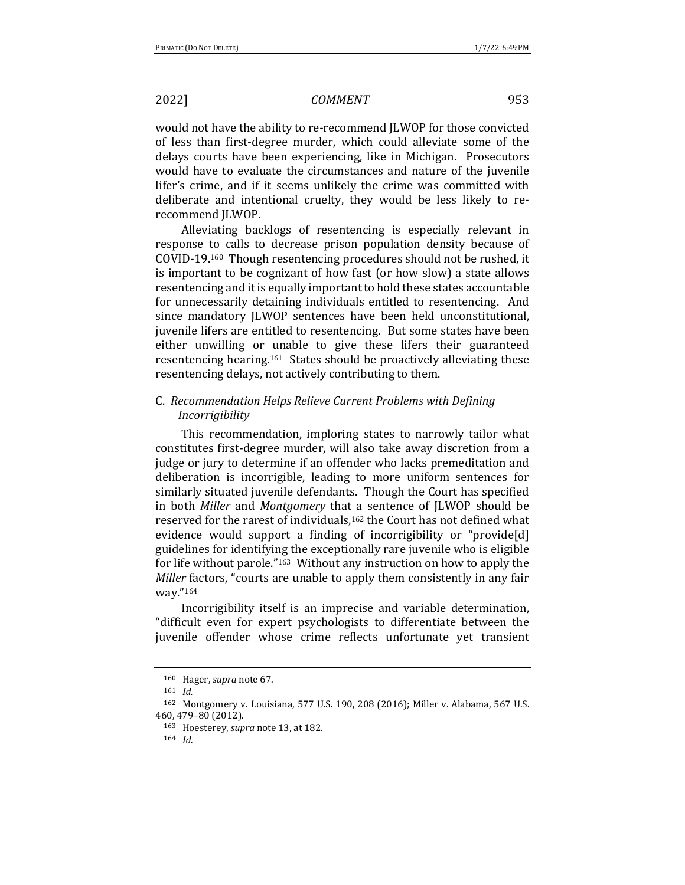would not have the ability to re-recommend JLWOP for those convicted of less than first-degree murder, which could alleviate some of the delays courts have been experiencing, like in Michigan. Prosecutors would have to evaluate the circumstances and nature of the juvenile lifer's crime, and if it seems unlikely the crime was committed with deliberate and intentional cruelty, they would be less likely to rerecommend JLWOP.

Alleviating backlogs of resentencing is especially relevant in response to calls to decrease prison population density because of COVID-19.<sup>160</sup> Though resentencing procedures should not be rushed, it is important to be cognizant of how fast (or how slow) a state allows resentencing and it is equally important to hold these states accountable for unnecessarily detaining individuals entitled to resentencing. And since mandatory JLWOP sentences have been held unconstitutional, juvenile lifers are entitled to resentencing. But some states have been either unwilling or unable to give these lifers their guaranteed resentencing hearing.<sup>161</sup> States should be proactively alleviating these resentencing delays, not actively contributing to them.

## C. *Recommendation Helps Relieve Current Problems with Defining Incorrigibility*

This recommendation, imploring states to narrowly tailor what constitutes first-degree murder, will also take away discretion from a judge or jury to determine if an offender who lacks premeditation and deliberation is incorrigible, leading to more uniform sentences for similarly situated juvenile defendants. Though the Court has specified in both *Miller* and *Montgomery* that a sentence of *JLWOP* should be reserved for the rarest of individuals,<sup>162</sup> the Court has not defined what evidence would support a finding of incorrigibility or "provide[d] guidelines for identifying the exceptionally rare juvenile who is eligible for life without parole." $163$  Without any instruction on how to apply the *Miller* factors, "courts are unable to apply them consistently in any fair way."164

Incorrigibility itself is an imprecise and variable determination, "difficult even for expert psychologists to differentiate between the juvenile offender whose crime reflects unfortunate yet transient

<sup>160</sup> Hager, *supra* note 67.

<sup>161</sup> *Id.*

<sup>162</sup> Montgomery v. Louisiana, 577 U.S. 190, 208 (2016); Miller v. Alabama, 567 U.S. 460, 479–80 (2012).

<sup>163</sup> Hoesterey, *supra* note 13, at 182.

<sup>164</sup> *Id.*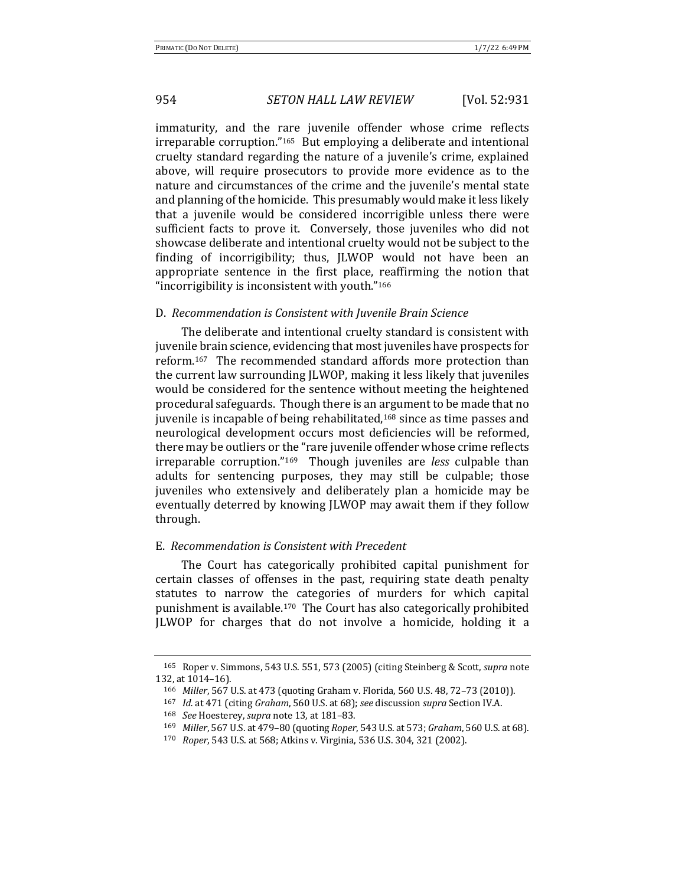immaturity, and the rare juvenile offender whose crime reflects irreparable corruption."<sup>165</sup> But employing a deliberate and intentional cruelty standard regarding the nature of a juvenile's crime, explained above, will require prosecutors to provide more evidence as to the nature and circumstances of the crime and the juvenile's mental state and planning of the homicide. This presumably would make it less likely that a juvenile would be considered incorrigible unless there were sufficient facts to prove it. Conversely, those juveniles who did not showcase deliberate and intentional cruelty would not be subject to the finding of incorrigibility; thus, JLWOP would not have been an appropriate sentence in the first place, reaffirming the notion that "incorrigibility is inconsistent with youth. $"^{166}$ 

### D. *Recommendation is Consistent with Juvenile Brain Science*

The deliberate and intentional cruelty standard is consistent with juvenile brain science, evidencing that most juveniles have prospects for reform.<sup>167</sup> The recommended standard affords more protection than the current law surrounding JLWOP, making it less likely that juveniles would be considered for the sentence without meeting the heightened procedural safeguards. Though there is an argument to be made that no juvenile is incapable of being rehabilitated,<sup>168</sup> since as time passes and neurological development occurs most deficiencies will be reformed, there may be outliers or the "rare juvenile offender whose crime reflects irreparable corruption."<sup>169</sup> Though juveniles are *less* culpable than adults for sentencing purposes, they may still be culpable; those juveniles who extensively and deliberately plan a homicide may be eventually deterred by knowing JLWOP may await them if they follow through. 

### E. *Recommendation is Consistent with Precedent*

The Court has categorically prohibited capital punishment for certain classes of offenses in the past, requiring state death penalty statutes to narrow the categories of murders for which capital punishment is available.<sup>170</sup> The Court has also categorically prohibited JLWOP for charges that do not involve a homicide, holding it a

<sup>&</sup>lt;sup>165</sup> Roper v. Simmons, 543 U.S. 551, 573 (2005) (citing Steinberg & Scott, *supra* note 132. at 1014-16).

<sup>166</sup> *Miller*, 567 U.S. at 473 (quoting Graham v. Florida, 560 U.S. 48, 72-73 (2010)).

<sup>167</sup> *Id.* at 471 (citing *Graham*, 560 U.S. at 68); see discussion *supra* Section IV.A.

<sup>168</sup> *See* Hoesterey, *supra* note 13, at 181-83.

<sup>169</sup> *Miller*, 567 U.S. at 479–80 (quoting *Roper*, 543 U.S. at 573; *Graham*, 560 U.S. at 68).

<sup>170</sup> *Roper*, 543 U.S. at 568; Atkins v. Virginia, 536 U.S. 304, 321 (2002).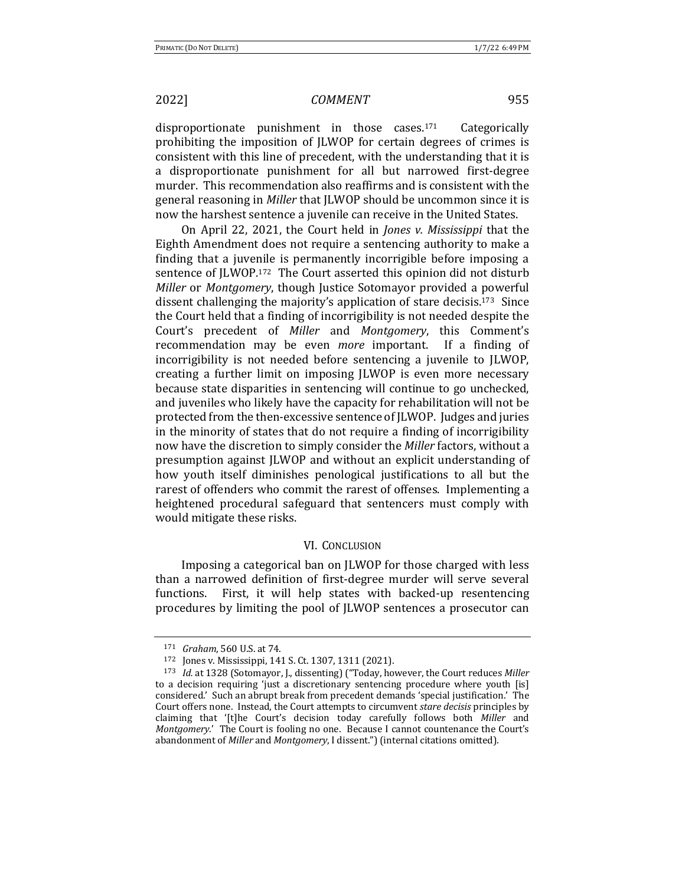disproportionate punishment in those cases.<sup>171</sup> Categorically prohibiting the imposition of JLWOP for certain degrees of crimes is consistent with this line of precedent, with the understanding that it is a disproportionate punishment for all but narrowed first-degree murder. This recommendation also reaffirms and is consistent with the general reasoning in *Miller* that JLWOP should be uncommon since it is now the harshest sentence a juvenile can receive in the United States.

On April 22, 2021, the Court held in *Jones v. Mississippi* that the Eighth Amendment does not require a sentencing authority to make a finding that a juvenile is permanently incorrigible before imposing a sentence of JLWOP.<sup>172</sup> The Court asserted this opinion did not disturb *Miller* or *Montgomery*, though Justice Sotomayor provided a powerful dissent challenging the majority's application of stare decisis.<sup>173</sup> Since the Court held that a finding of incorrigibility is not needed despite the Court's precedent of *Miller* and *Montgomery*, this Comment's recommendation may be even *more* important. If a finding of incorrigibility is not needed before sentencing a juvenile to JLWOP, creating a further limit on imposing *[LWOP* is even more necessary because state disparities in sentencing will continue to go unchecked, and juveniles who likely have the capacity for rehabilitation will not be protected from the then-excessive sentence of JLWOP. Judges and juries in the minority of states that do not require a finding of incorrigibility now have the discretion to simply consider the *Miller* factors, without a presumption against JLWOP and without an explicit understanding of how youth itself diminishes penological justifications to all but the rarest of offenders who commit the rarest of offenses. Implementing a heightened procedural safeguard that sentencers must comply with would mitigate these risks.

### **VI. CONCLUSION**

Imposing a categorical ban on JLWOP for those charged with less than a narrowed definition of first-degree murder will serve several functions. First, it will help states with backed-up resentencing procedures by limiting the pool of JLWOP sentences a prosecutor can

<sup>171</sup> *Graham*, 560 U.S. at 74.

<sup>172</sup> Jones v. Mississippi, 141 S. Ct. 1307, 1311 (2021).

<sup>173</sup> *Id.* at 1328 (Sotomayor, J., dissenting) ("Today, however, the Court reduces Miller to a decision requiring 'just a discretionary sentencing procedure where youth [is] considered.' Such an abrupt break from precedent demands 'special justification.' The Court offers none. Instead, the Court attempts to circumvent *stare decisis* principles by claiming that '[t]he Court's decision today carefully follows both Miller and *Montgomery.*' The Court is fooling no one. Because I cannot countenance the Court's abandonment of *Miller* and *Montgomery*, I dissent.") (internal citations omitted).